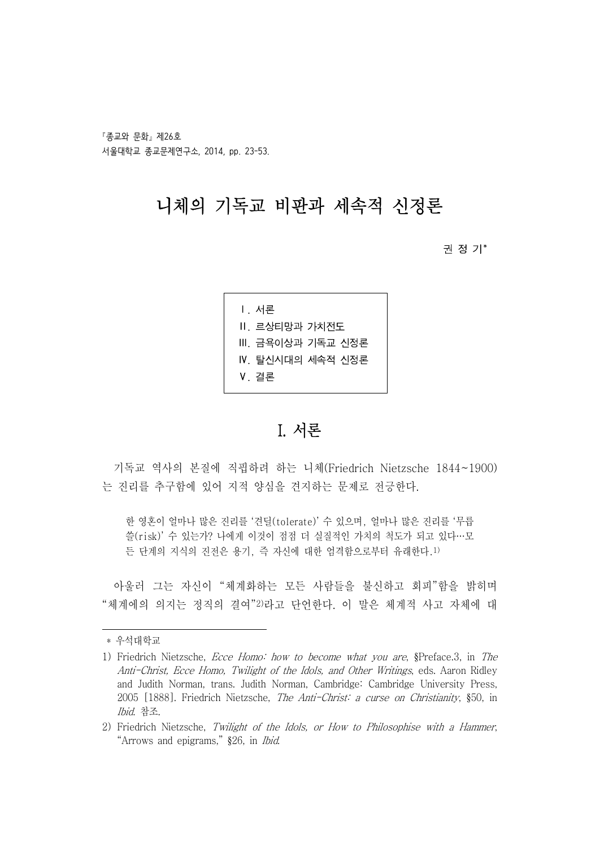『종교와 문화』 제26호 서울대학교 종교문제연구소, 2014, pp. 23-53.

## 니체의 기독교 비판과 세속적 신정론

권 정 기\*1)

| Ⅰ. 서론            |  |
|------------------|--|
| Ⅱ. 르상티망과 가치전도    |  |
| Ⅲ. 금욕이상과 기독교 신정론 |  |
| Ⅳ. 탈시시대의 세속적 시정론 |  |
| V 결론             |  |
|                  |  |

### I. 서론

기독교 역사의 본질에 직핍하려 하는 니체(Friedrich Nietzsche 1844~1900) 는 진리를 추구함에 있어 지적 양심을 견지하는 문제로 전긍한다.

한 영혼이 얼마나 많은 진리를 '견딜(tolerate)' 수 있으며, 얼마나 많은 진리를 '무릅 쓸(risk)' 수 있는가? 나에게 이것이 점점 더 실질적인 가치의 척도가 되고 있다…모 든 단계의 지식의 진전은 용기, 즉 자신에 대한 엄격함으로부터 유래한다.1)

- 아울러 그는 자신이 "체계화하는 모든 사람들을 불신하고 회피"함을 밝히며<br>"체계에의 의지는 정직의 결여"<sup>2)</sup>라고 단언한다. 이 말은 체계적 사고 자체에 대

<sup>\*</sup> 우석대학교

<sup>1)</sup> Friedrich Nietzsche, Ecce Homo: how to become what you are, §Preface.3, in The Anti-Christ, Ecce Homo, Twilight of the Idols, and Other Writings, eds. Aaron Ridley and Judith Norman, trans. Judith Norman, Cambridge: Cambridge University Press, 2005 [1888]. Friedrich Nietzsche, The Anti-Christ: a curse on Christianity, §50, in Ibid. 참조.

<sup>2)</sup> Friedrich Nietzsche, Twilight of the Idols, or How to Philosophise with a Hammer, "Arrows and epigrams," §26, in Ibid.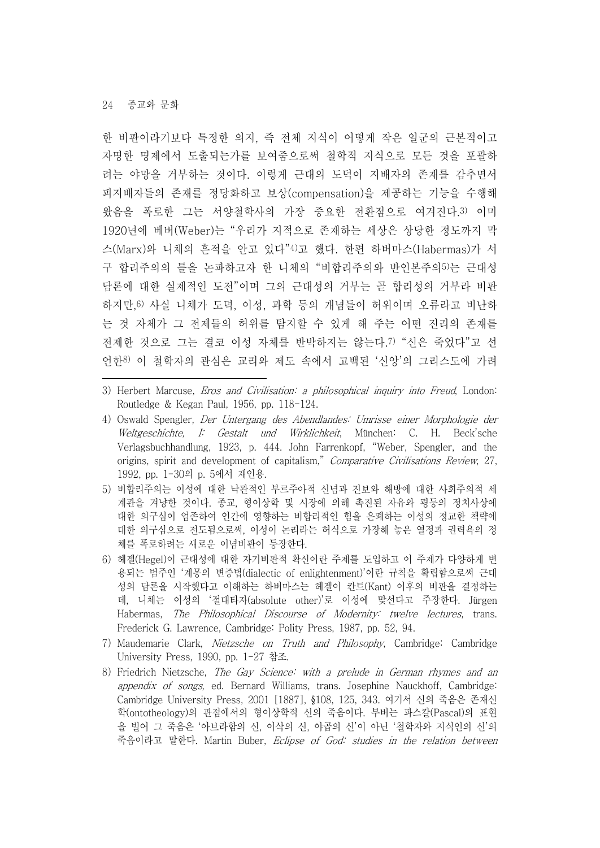한 비판이라기보다 특정한 의지, 즉 전체 지식이 어떻게 작은 일군의 근본적이고 자명한 명제에서 도출되는가를 보여줌으로써 철학적 지식으로 모든 것을 포괄하 려는 야망을 거부하는 것이다. 이렇게 근대의 도덕이 지배자의 존재를 감추면서 피지배자들의 존재를 정당화하고 보상(compensation)을 제공하는 기능을 수행해 왔음을 폭로한 그는 서양철학사의 가장 중요한 전환점으로 여겨진다.3) 이미 1920년에 베버(Weber)는 "우리가 지적으로 존재하는 세상은 상당한 정도까지 막 스(Marx)와 니체의 흔적을 안고 있다"4)고 했다. 한편 하버마스(Habermas)가 서 구 합리주의의 틀을 논파하고자 한 니체의 "비합리주의와 반인본주의5)는 근대성 담론에 대한 실제적인 도전"이며 그의 근대성의 거부는 곧 합리성의 거부라 비판 하지만,6) 사실 니체가 도덕, 이성, 과학 등의 개념들이 허위이며 오류라고 비난하 는 것 자체가 그 전제들의 허위를 탐지할 수 있게 해 주는 어떤 진리의 존재를 전제한 것으로 그는 결코 이성 자체를 반박하지는 않는다.7) "신은 죽었다"고 선 언한8) 이 철학자의 관심은 교리와 제도 속에서 고백된 '신앙'의 그리스도에 가려

- 5) 비합리주의는 이성에 대한 낙관적인 부르주아적 신념과 진보와 해방에 대한 사회주의적 세 계관을 겨냥한 것이다. 종교, 형이상학 및 시장에 의해 촉진된 자유와 평등의 정치사상에 대한 의구심이 엄존하여 인간에 영향하는 비합리적인 힘을 은폐하는 이성의 정교한 책략에 대한 의구심으로 전도됨으로써, 이성이 논리라는 허식으로 가장해 놓은 열정과 권력욕의 정 체를 폭로하려는 새로운 이념비판이 등장한다.
- 6) 헤겔(Hegel)이 근대성에 대한 자기비판적 확신이란 주제를 도입하고 이 주제가 다양하게 변 용되는 범주인 '계몽의 변증법(dialectic of enlightenment)'이란 규칙을 확립함으로써 근대 성의 담론을 시작했다고 이해하는 하버마스는 헤겔이 칸트(Kant) 이후의 비판을 결정하는 데, 니체는 이성의 '절대타자(absolute other)'로 이성에 맞선다고 주장한다. Jürgen Habermas, The Philosophical Discourse of Modernity: twelve lectures, trans. Frederick G. Lawrence, Cambridge: Polity Press, 1987, pp. 52, 94.
- 7) Maudemarie Clark, Nietzsche on Truth and Philosophy, Cambridge: Cambridge University Press, 1990, pp. 1-27 참조.
- 8) Friedrich Nietzsche, The Gay Science: with a prelude in German rhymes and an appendix of songs, ed. Bernard Williams, trans. Josephine Nauckhoff, Cambridge: Cambridge University Press, 2001 [1887], §108, 125, 343. 여기서 신의 죽음은 존재신 학(ontotheology)의 관점에서의 형이상학적 신의 죽음이다. 부버는 파스칼(Pascal)의 표현 을 빌어 그 죽음은 '아브라함의 신, 이삭의 신, 야곱의 신'이 아닌 '철학자와 지식인의 신'의 죽음이라고 말한다. Martin Buber, Eclipse of God: studies in the relation between

<sup>3)</sup> Herbert Marcuse, *Eros and Civilisation: a philosophical inquiry into Freud*, London: Routledge & Kegan Paul, 1956, pp. 118-124.

<sup>4)</sup> Oswald Spengler, Der Untergang des Abendlandes: Umrisse einer Morphologie der Weltgeschichte, I: Gestalt und Wirklichkeit, München: C. H. Beck'sche Verlagsbuchhandlung, 1923, p. 444. John Farrenkopf, "Weber, Spengler, and the origins, spirit and development of capitalism," Comparative Civilisations Review, 27, 1992, pp. 1-30의 p. 5에서 재인용.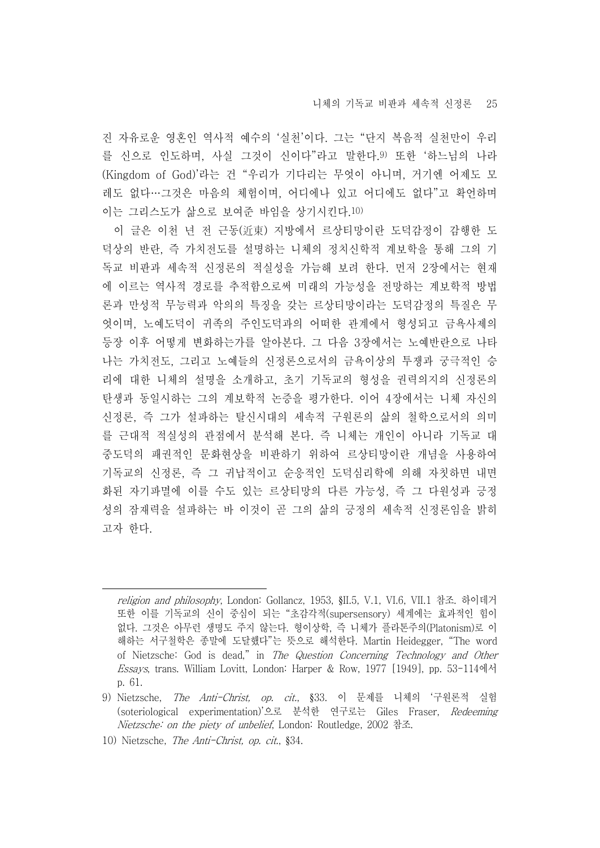진 자유로운 영혼인 역사적 예수의 '실천'이다. 그는 "단지 복음적 실천만이 우리 를 신으로 인도하며, 사실 그것이 신이다"라고 말한다.9) 또한 '하느님의 나라 (Kingdom of God)'라는 건 "우리가 기다리는 무엇이 아니며, 거기엔 어제도 모 레도 없다…그것은 마음의 체험이며, 어디에나 있고 어디에도 없다"고 확언하며 이는 그리스도가 삶으로 보여준 바임을 상기시킨다.10)

이 글은 이천 년 전 근동(近東) 지방에서 르상티망이란 도덕감정이 감행한 도 덕상의 반란, 즉 가치전도를 설명하는 니체의 정치신학적 계보학을 통해 그의 기 독교 비판과 세속적 신정론의 적실성을 가늠해 보려 한다. 먼저 2장에서는 현재 에 이르는 역사적 경로를 추적함으로써 미래의 가능성을 전망하는 계보학적 방법 론과 만성적 무능력과 악의의 특징을 갖는 르상티망이라는 도덕감정의 특질은 무 엇이며, 노예도덕이 귀족의 주인도덕과의 어떠한 관계에서 형성되고 금욕사제의 등장 이후 어떻게 변화하는가를 알아본다. 그 다음 3장에서는 노예반란으로 나타 나는 가치전도, 그리고 노예들의 신정론으로서의 금욕이상의 투쟁과 궁극적인 승 리에 대한 니체의 설명을 소개하고, 초기 기독교의 형성을 권력의지의 신정론의 탄생과 동일시하는 그의 계보학적 논증을 평가한다. 이어 4장에서는 니체 자신의 신정론, 즉 그가 설파하는 탈신시대의 세속적 구원론의 삶의 철학으로서의 의미 를 근대적 적실성의 관점에서 분석해 본다. 즉 니체는 개인이 아니라 기독교 대 중도덕의 패권적인 문화현상을 비판하기 위하여 르상티망이란 개념을 사용하여 기독교의 신정론, 즉 그 귀납적이고 순응적인 도덕심리학에 의해 자칫하면 내면 화된 자기파멸에 이를 수도 있는 르상티망의 다른 가능성, 즉 그 다원성과 긍정 성의 잠재력을 설파하는 바 이것이 곧 그의 삶의 긍정의 세속적 신정론임을 밝히 고자 한다.

10) Nietzsche, The Anti-Christ, op. cit., §34.

religion and philosophy, London: Gollancz, 1953, §II.5, V.1, VI.6, VII.1 참조. 하이데거 또한 이를 기독교의 신이 중심이 되는 "초감각적(supersensory) 세계에는 효과적인 힘이 없다. 그것은 아무런 생명도 주지 않는다. 형이상학, 즉 니체가 플라톤주의(Platonism)로 이 해하는 서구철학은 종말에 도달했다"는 뜻으로 해석한다. Martin Heidegger, "The word of Nietzsche: God is dead," in The Question Concerning Technology and Other Essays, trans. William Lovitt, London: Harper & Row, 1977 [1949], pp. 53-114에서 p. 61.

<sup>9)</sup> Nietzsche, The Anti-Christ, op. cit., §33. 이 문제를 니체의 '구원론적 실험 (soteriological experimentation)'으로 분석한 연구로는 Giles Fraser, Redeeming Nietzsche: on the piety of unbelief, London: Routledge, 2002 참조.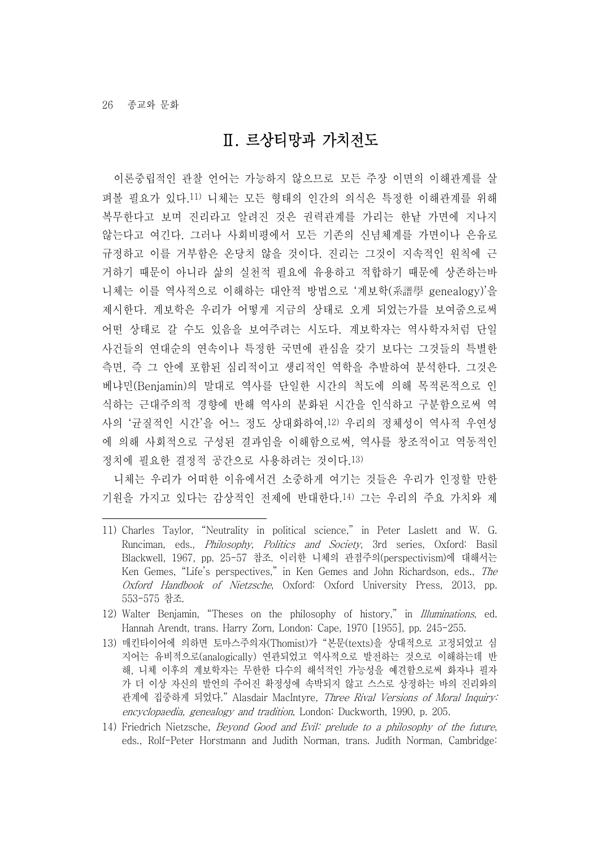### Ⅱ. 르상티망과 가치전도

이론중립적인 관찰 언어는 가능하지 않으므로 모든 주장 이면의 이해관계를 살 펴볼 필요가 있다.11) 니체는 모든 형태의 인간의 의식은 특정한 이해관계를 위해 복무한다고 보며 진리라고 알려진 것은 권력관계를 가리는 한낱 가면에 지나지 않는다고 여긴다. 그러나 사회비평에서 모든 기존의 신념체계를 가면이나 은유로 규정하고 이를 거부함은 온당치 않을 것이다. 진리는 그것이 지속적인 원칙에 근 거하기 때문이 아니라 삶의 실천적 필요에 유용하고 적합하기 때문에 상존하는바 니체는 이를 역사적으로 이해하는 대안적 방법으로 '계보학(系譜學 genealogy)'을 제시한다. 계보학은 우리가 어떻게 지금의 상태로 오게 되었는가를 보여줌으로써 어떤 상태로 갈 수도 있음을 보여주려는 시도다. 계보학자는 역사학자처럼 단일 사건들의 연대순의 연속이나 특정한 국면에 관심을 갖기 보다는 그것들의 특별한 측면, 즉 그 안에 포함된 심리적이고 생리적인 역학을 추발하여 분석한다. 그것은 베냐민(Benjamin)의 말대로 역사를 단일한 시간의 척도에 의해 목적론적으로 인 식하는 근대주의적 경향에 반해 역사의 분화된 시간을 인식하고 구분함으로써 역 사의 '균질적인 시간'을 어느 정도 상대화하여,12) 우리의 정체성이 역사적 우연성 에 의해 사회적으로 구성된 결과임을 이해함으로써, 역사를 창조적이고 역동적인 정치에 필요한 결정적 공간으로 사용하려는 것이다.13)

니체는 우리가 어떠한 이유에서건 소중하게 여기는 것들은 우리가 인정할 만한 기원을 가지고 있다는 감상적인 전제에 반대한다.14) 그는 우리의 주요 가치와 제

<sup>11)</sup> Charles Taylor, "Neutrality in political science," in Peter Laslett and W. G. Runciman, eds., *Philosophy, Politics and Society*, 3rd series, Oxford: Basil Blackwell, 1967, pp. 25-57 참조. 이러한 니체의 관점주의(perspectivism)에 대해서는 Ken Gemes, "Life's perspectives," in Ken Gemes and John Richardson, eds., The Oxford Handbook of Nietzsche, Oxford: Oxford University Press, 2013, pp. 553-575 참조.

<sup>12)</sup> Walter Benjamin, "Theses on the philosophy of history," in Illuminations, ed. Hannah Arendt, trans. Harry Zorn, London: Cape, 1970 [1955], pp. 245-255.

<sup>13)</sup> 매킨타이어에 의하면 토마스주의자(Thomist)가 "본문(texts)을 상대적으로 고정되었고 심 지어는 유비적으로(analogically) 연관되었고 역사적으로 발전하는 것으로 이해하는데 반 해, 니체 이후의 계보학자는 무한한 다수의 해석적인 가능성을 예견함으로써 화자나 필자 가 더 이상 자신의 발언의 주어진 확정성에 속박되지 않고 스스로 상정하는 바의 진리와의 관계에 집중하게 되었다." Alasdair MacIntyre, Three Rival Versions of Moral Inquiry: encyclopaedia, genealogy and tradition, London: Duckworth, 1990, p. 205.

<sup>14)</sup> Friedrich Nietzsche, *Beyond Good and Evil: prelude to a philosophy of the future*, eds., Rolf-Peter Horstmann and Judith Norman, trans. Judith Norman, Cambridge: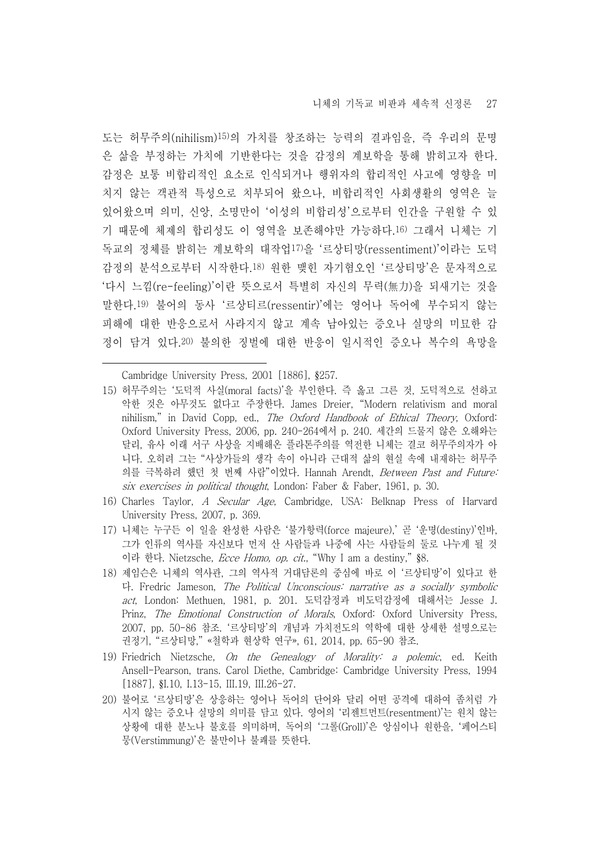도는 허무주의(nihilism)15)의 가치를 창조하는 능력의 결과임을, 즉 우리의 문명 은 삶을 부정하는 가치에 기반한다는 것을 감정의 계보학을 통해 밝히고자 한다.<br>감정은 보통 비합리적인 요소로 인식되거나 행위자의 합리적인 사고에 영향을 미 치지 않는 객관적 특성으로 치부되어 왔으나, 비합리적인 사회생활의 영역은 늘 있어왔으며 의미, 신앙, 소명만이 '이성의 비합리성'으로부터 인간을 구원할 수 있 기 때문에 체제의 합리성도 이 영역을 보존해야만 가능하다.16) 그래서 니체는 기 독교의 정체를 밝히는 계보학의 대작업17)을 '르상티망(ressentiment)'이라는 도덕 감정의 분석으로부터 시작한다.18) 원한 맺힌 자기혐오인 '르상티망'은 문자적으로 '다시 느낌(re-feeling)'이란 뜻으로서 특별히 자신의 무력(無力)을 되새기는 것을 말한다.19) 불어의 동사 '르상티르(ressentir)'에는 영어나 독어에 부수되지 않는 피해에 대한 반응으로서 사라지지 않고 계속 남아있는 증오나 실망의 미묘한 감 정이 담겨 있다.20) 불의한 징벌에 대한 반응이 일시적인 증오나 복수의 욕망을

Cambridge University Press, 2001 [1886], §257.

- 15) 허무주의는 '도덕적 사실(moral facts)'을 부인한다. 즉 옳고 그른 것, 도덕적으로 선하고 악한 것은 아무것도 없다고 주장한다. James Dreier, "Modern relativism and moral nihilism," in David Copp, ed., The Oxford Handbook of Ethical Theory, Oxford: Oxford University Press, 2006, pp. 240-264에서 p. 240. 세간의 드물지 않은 오해와는 달리, 유사 이래 서구 사상을 지배해온 플라톤주의를 역전한 니체는 결코 허무주의자가 아 니다. 오히려 그는 "사상가들의 생각 속이 아니라 근대적 삶의 현실 속에 내재하는 허무주 의를 극복하려 했던 첫 번째 사람"이었다. Hannah Arendt, Between Past and Future: six exercises in political thought, London: Faber & Faber, 1961, p. 30.
- 16) Charles Taylor, A Secular Age, Cambridge, USA: Belknap Press of Harvard University Press, 2007, p. 369.
- 17) 니체는 누구든 이 일을 완성한 사람은 '불가항력(force majeure),' 곧 '운명(destiny)'인바, 그가 인류의 역사를 자신보다 먼저 산 사람들과 나중에 사는 사람들의 둘로 나누게 될 것 이라 한다. Nietzsche, Ecce Homo, op. cit., "Why I am a destiny," §8.
- 18) 제임슨은 니체의 역사관, 그의 역사적 거대담론의 중심에 바로 이 '르상티망'이 있다고 한 다. Fredric Jameson, The Political Unconscious: narrative as a socially symbolic act, London: Methuen, 1981, p. 201. 도덕감정과 비도덕감정에 대해서는 Jesse J. Prinz, The Emotional Construction of Morals, Oxford: Oxford University Press, 2007, pp. 50-86 참조. '르상티망'의 개념과 가치전도의 역학에 대한 상세한 설명으로는 권정기, "르상티망," «철학과 현상학 연구», 61, 2014, pp. 65-90 참조.
- 19) Friedrich Nietzsche, On the Genealogy of Morality: a polemic, ed. Keith Ansell-Pearson, trans. Carol Diethe, Cambridge: Cambridge University Press, 1994 [1887], §I.10, I.13-15, III.19, III.26-27.
- 20) 불어로 '르상티망'은 상응하는 영어나 독어의 단어와 달리 어떤 공격에 대하여 좀처럼 가 시지 않는 증오나 실망의 의미를 담고 있다. 영어의 '리젠트먼트(resentment)'는 원치 않는 상황에 대한 분노나 불호를 의미하며, 독어의 '그롤(Groll)'은 앙심이나 원한을, '페어스티 뭉(Verstimmung)'은 불만이나 불쾌를 뜻한다.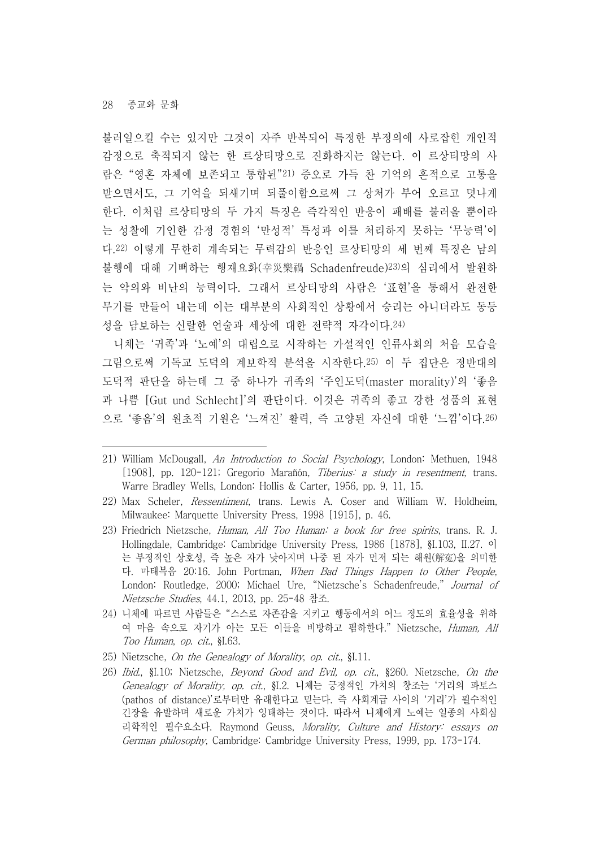불러일으킬 수는 있지만 그것이 자주 반복되어 특정한 부정의에 사로잡힌 개인적 감정으로 축적되지 않는 한 르상티망으로 진화하지는 않는다. 이 르상티망의 사 람은 "영혼 자체에 보존되고 통합된"21) 증오로 가득 찬 기억의 흔적으로 고통을 받으면서도, 그 기억을 되새기며 되풀이함으로써 그 상처가 부어 오르고 덧나게 한다. 이처럼 르상티망의 두 가지 특징은 즉각적인 반응이 패배를 불러올 뿐이라 는 성찰에 기인한 감정 경험의 '만성적' 특성과 이를 처리하지 못하는 '무능력'이 다.22) 이렇게 무한히 계속되는 무력감의 반응인 르상티망의 세 번째 특징은 남의 불행에 대해 기뻐하는 행재요화(幸災樂禍 Schadenfreude)23)의 심리에서 발원하 는 악의와 비난의 능력이다. 그래서 르상티망의 사람은 '표현'을 통해서 완전한 무기를 만들어 내는데 이는 대부분의 사회적인 상황에서 승리는 아니더라도 동등 성을 담보하는 신랄한 언술과 세상에 대한 전략적 자각이다.24)

니체는 '귀족'과 '노예'의 대립으로 시작하는 가설적인 인류사회의 처음 모습을 그림으로써 기독교 도덕의 계보학적 분석을 시작한다.25) 이 두 집단은 정반대의 도덕적 판단을 하는데 그 중 하나가 귀족의 '주인도덕(master morality)'의 '좋음 과 나쁨 [Gut und Schlecht]'의 판단이다. 이것은 귀족의 좋고 강한 성품의 표현 으로 '좋음'의 원초적 기원은 '느껴진' 활력, 즉 고양된 자신에 대한 '느낌'이다.26)

- 25) Nietzsche, On the Genealogy of Morality, op. cit., §I.11.
- 26) Ibid., §I.10; Nietzsche, Beyond Good and Evil, op. cit., §260. Nietzsche, On the Genealogy of Morality, op. cit., §I.2. 니체는 긍정적인 가치의 창조는 '거리의 파토스 (pathos of distance)'로부터만 유래한다고 믿는다. 즉 사회계급 사이의 '거리'가 필수적인 긴장을 유발하며 새로운 가치가 잉태하는 것이다. 따라서 니체에게 노예는 일종의 사회심 리학적인 필수요소다. Raymond Geuss, Morality, Culture and History: essays on German philosophy, Cambridge: Cambridge University Press, 1999, pp. 173-174.

<sup>21)</sup> William McDougall, An Introduction to Social Psychology, London: Methuen, 1948 [1908], pp. 120-121; Gregorio Marañón, Tiberius: a study in resentment, trans. Warre Bradley Wells, London: Hollis & Carter, 1956, pp. 9, 11, 15.

<sup>22)</sup> Max Scheler, Ressentiment, trans. Lewis A. Coser and William W. Holdheim, Milwaukee: Marquette University Press, 1998 [1915], p. 46.

<sup>23)</sup> Friedrich Nietzsche, Human, All Too Human: a book for free spirits, trans. R. J. Hollingdale, Cambridge: Cambridge University Press, 1986 [1878], §I.103, II.27. 이 는 부정적인 상호성, 즉 높은 자가 낮아지며 나중 된 자가 먼저 되는 해원(解寃)을 의미한 다. 마태복음 20:16. John Portman, When Bad Things Happen to Other People, London: Routledge, 2000; Michael Ure, "Nietzsche's Schadenfreude," Journal of Nietzsche Studies, 44.1, 2013, pp. 25-48 참조.

<sup>24)</sup> 니체에 따르면 사람들은 "스스로 자존감을 지키고 행동에서의 어느 정도의 효율성을 위하 여 마음 속으로 자기가 아는 모든 이들을 비방하고 폄하한다." Nietzsche, Human, All Too Human, op. cit., §I.63.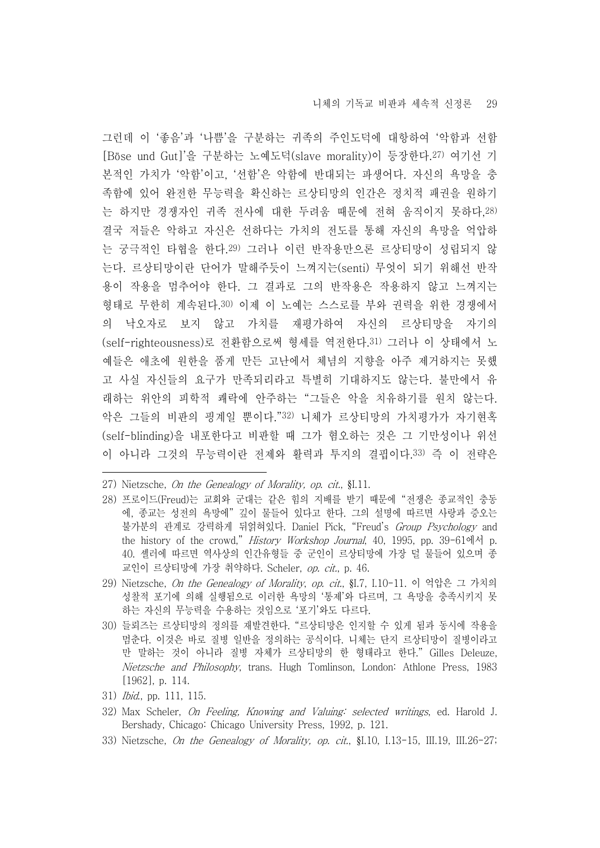그런데 이 '좋음'과 '나쁨'을 구분하는 귀족의 주인도덕에 대항하여 '악함과 선함 [Böse und Gut]'을 구분하는 노예도덕(slave morality)이 등장한다.27) 여기선 기 본적인 가치가 '악함'이고, '선함'은 악함에 반대되는 파생어다. 자신의 욕망을 충 족함에 있어 완전한 무능력을 확신하는 르상티망의 인간은 정치적 패권을 원하기 는 하지만 경쟁자인 귀족 전사에 대한 두려움 때문에 전혀 움직이지 못하다,28) 결국 저들은 악하고 자신은 선하다는 가치의 전도를 통해 자신의 욕망을 억압하 는 궁극적인 타협을 한다.29) 그러나 이런 반작용만으론 르상티망이 성립되지 않 는다. 르상티망이란 단어가 말해주듯이 느껴지는(senti) 무엇이 되기 위해선 반작 용이 작용을 멈추어야 한다. 그 결과로 그의 반작용은 작용하지 않고 느껴지는 형태로 무한히 계속된다.30) 이제 이 노예는 스스로를 부와 권력을 위한 경쟁에서 의 낙오자로 보지 않고 가치를 재평가하여 자신의 르상티망을 자기의 (self-righteousness)로 전환함으로써 형세를 역전한다.31) 그러나 이 상태에서 노 예들은 애초에 원한을 품게 만든 고난에서 체념의 지향을 아주 제거하지는 못했 고 사실 자신들의 요구가 만족되리라고 특별히 기대하지도 않는다. 불만에서 유 래하는 위안의 피학적 쾌락에 안주하는 "그들은 악을 치유하기를 원치 않는다.<br>악은 그들의 비판의 핑계일 뿐이다."32) 니체가 르상티망의 가치평가가 자기현혹 (self-blinding)을 내포한다고 비판할 때 그가 혐오하는 것은 그 기만성이나 위선 이 아니라 그것의 무능력이란 전제와 활력과 투지의 결핍이다.33) 즉 이 전략은

- 27) Nietzsche, On the Genealogy of Morality, op. cit., §I.11.
- 28) 프로이드(Freud)는 교회와 군대는 같은 힘의 지배를 받기 때문에 "전쟁은 종교적인 충동 에, 종교는 성전의 욕망에" 깊이 물들어 있다고 한다. 그의 설명에 따르면 사랑과 증오는 불가분의 관계로 강력하게 뒤얽혀있다. Daniel Pick, "Freud's Group Psychology and the history of the crowd," History Workshop Journal, 40, 1995, pp. 39-61에서 p. 40. 셸러에 따르면 역사상의 인간유형들 중 군인이 르상티망에 가장 덜 물들어 있으며 종 교인이 르상티망에 가장 취약하다. Scheler, op. cit., p. 46.
- 29) Nietzsche, On the Genealogy of Morality, op. cit., §I.7, I.10-11. 이 억압은 그 가치의 성찰적 포기에 의해 실행됨으로 이러한 욕망의 '통제'와 다르며, 그 욕망을 충족시키지 못 하는 자신의 무능력을 수용하는 것임으로 '포기'와도 다르다.
- 30) 들뢰즈는 르상티망의 정의를 재발견한다. "르상티망은 인지할 수 있게 됨과 동시에 작용을 멈춘다. 이것은 바로 질병 일반을 정의하는 공식이다. 니체는 단지 르상티망이 질병이라고 만 말하는 것이 아니라 질병 자체가 르상티망의 한 형태라고 한다." Gilles Deleuze, Nietzsche and Philosophy, trans. Hugh Tomlinson, London: Athlone Press, 1983 [1962], p. 114.
- 31) Ibid., pp. 111, 115.
- 32) Max Scheler, On Feeling, Knowing and Valuing: selected writings, ed. Harold J. Bershady, Chicago: Chicago University Press, 1992, p. 121.
- 33) Nietzsche, On the Genealogy of Morality, op. cit., §I.10, I.13-15, III.19, III.26-27;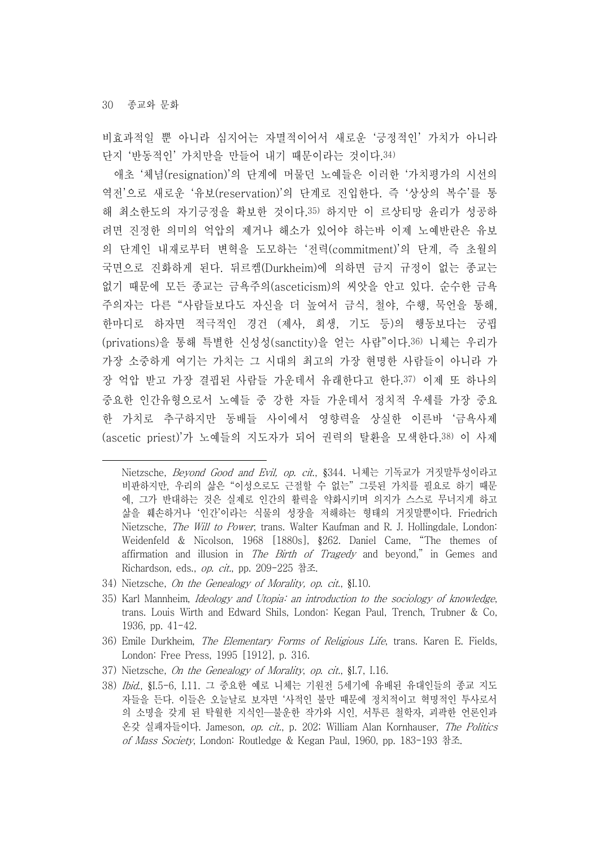비효과적일 뿐 아니라 심지어는 자멸적이어서 새로운 '긍정적인' 가치가 아니라 단지 '반동적인' 가치만을 만들어 내기 때문이라는 것이다.34)

애초 '체념(resignation)'의 단계에 머물던 노예들은 이러한 '가치평가의 시선의 역전'으로 새로운 '유보(reservation)'의 단계로 진입한다. 즉 '상상의 복수'를 통 해 최소한도의 자기긍정을 확보한 것이다.35) 하지만 이 르상티망 윤리가 성공하 려면 진정한 의미의 억압의 제거나 해소가 있어야 하는바 이제 노예반란은 유보 의 단계인 내재로부터 변혁을 도모하는 '전력(commitment)'의 단계, 즉 초월의 국면으로 진화하게 된다. 뒤르켐(Durkheim)에 의하면 금지 규정이 없는 종교는 없기 때문에 모든 종교는 금욕주의(asceticism)의 씨앗을 안고 있다. 순수한 금욕 주의자는 다른 "사람들보다도 자신을 더 높여서 금식, 철야, 수행, 묵언을 통해,<br>한마디로 하자면 적극적인 경건 (제사, 희생, 기도 등)의 행동보다는 궁핍 (privations)을 통해 특별한 신성성(sanctity)을 얻는 사람"이다.36) 니체는 우리가 가장 소중하게 여기는 가치는 그 시대의 최고의 가장 현명한 사람들이 아니라 가 장 억압 받고 가장 결핍된 사람들 가운데서 유래한다고 한다.37) 이제 또 하나의 중요한 인간유형으로서 노예들 중 강한 자들 가운데서 정치적 우세를 가장 중요 한 가치로 추구하지만 동배들 사이에서 영향력을 상실한 이른바 '금욕사제 (ascetic priest)'가 노예들의 지도자가 되어 권력의 탈환을 모색한다.38) 이 사제

- 34) Nietzsche, On the Genealogy of Morality, op. cit., §I.10.
- 35) Karl Mannheim, *Ideology and Utopia: an introduction to the sociology of knowledge*, trans. Louis Wirth and Edward Shils, London: Kegan Paul, Trench, Trubner & Co, 1936, pp. 41-42.
- 36) Emile Durkheim, The Elementary Forms of Religious Life, trans. Karen E. Fields, London: Free Press, 1995 [1912], p. 316.
- 37) Nietzsche, On the Genealogy of Morality, op. cit., §I.7, I.16.
- 38) Ibid., §I.5-6, I.11. 그 중요한 예로 니체는 기원전 5세기에 유배된 유대인들의 종교 지도 자들을 든다. 이들은 오늘날로 보자면 '사적인 불만 때문에 정치적이고 혁명적인 투사로서 의 소명을 갖게 된 탁월한 지식인—불운한 작가와 시인, 서투른 철학자, 괴팍한 언론인과 온갖 실패자들이다. Jameson, op. cit., p. 202; William Alan Kornhauser, The Politics of Mass Society, London: Routledge & Kegan Paul, 1960, pp. 183-193 참조.

Nietzsche, Beyond Good and Evil, op. cit., §344. 니체는 기독교가 거짓말투성이라고 비판하지만, 우리의 삶은 "이성으로도 근절할 수 없는" 그릇된 가치를 필요로 하기 때문 에, 그가 반대하는 것은 실제로 인간의 활력을 약화시키며 의지가 스스로 무너지게 하고 삶을 훼손하거나 '인간'이라는 식물의 성장을 저해하는 형태의 거짓말뿐이다. Friedrich Nietzsche, The Will to Power, trans. Walter Kaufman and R. J. Hollingdale, London: Weidenfeld & Nicolson, 1968 [1880s], §262. Daniel Came, "The themes of affirmation and illusion in The Birth of Tragedy and beyond," in Gemes and Richardson, eds., op. cit., pp. 209-225 참조.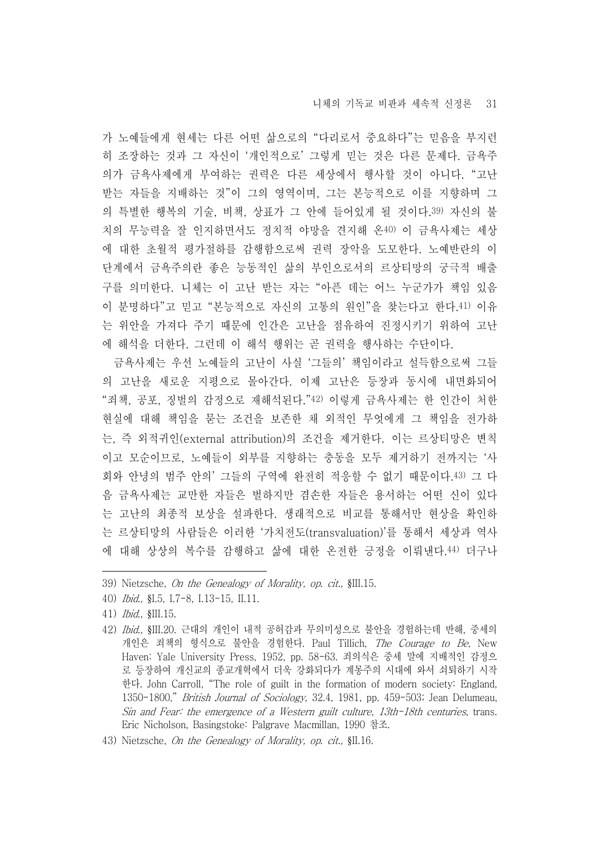가 노예들에게 현세는 다른 어떤 삶으로의 "다리로서 중요하다"는 믿음을 부지런 히 조장하는 것과 그 자신이 '개인적으로' 그렇게 믿는 것은 다른 문제다. 금욕주 의가 금욕사제에게 부여하는 권력은 다른 세상에서 행사할 것이 아니다. "고난 받는 자들을 지배하는 것"이 그의 영역이며, 그는 본능적으로 이를 지향하며 그 의 특별한 행복의 기술, 비책, 상표가 그 안에 들어있게 될 것이다.39) 자신의 불 치의 무능력을 잘 인지하면서도 정치적 야망을 견지해 온40) 이 금욕사제는 세상 에 대한 초월적 평가절하를 감행함으로써 권력 장악을 도모한다. 노예반란의 이 단계에서 금욕주의란 좋은 능동적인 삶의 부인으로서의 르상티망의 궁극적 배출 구를 의미한다. 니체는 이 고난 받는 자는 "아픈 데는 어느 누군가가 책임 있음 이 분명하다"고 믿고 "본능적으로 자신의 고통의 원인"을 찾는다고 한다.41) 이유 는 위안을 가져다 주기 때문에 인간은 고난을 점유하여 진정시키기 위하여 고난 에 해석을 더한다. 그런데 이 해석 행위는 곧 권력을 행사하는 수단이다.

금욕사제는 우선 노예들의 고난이 사실 '그들의' 책임이라고 설득함으로써 그들 의 고난을 새로운 지평으로 몰아간다. 이제 고난은 등장과 동시에 내면화되어<br>"죄책, 공포, 징벌의 감정으로 재해석된다."42) 이렇게 금욕사제는 한 인간이 처한 현실에 대해 책임을 묻는 조건을 보존한 채 외적인 무엇에게 그 책임을 전가하 는, 즉 외적귀인(external attribution)의 조건을 제거한다. 이는 르상티망은 변칙 이고 모순이므로, 노예들이 외부를 지향하는 충동을 모두 제거하기 전까지는 '사 회와 안녕의 범주 안의' 그들의 구역에 완전히 적응할 수 없기 때문이다.43) 그 다 음 금욕사제는 교만한 자들은 벌하지만 겸손한 자들은 용서하는 어떤 신이 있다 는 고난의 최종적 보상을 설파한다. 생래적으로 비교를 통해서만 현상을 확인하 는 르상티망의 사람들은 이러한 '가치전도(transvaluation)'를 통해서 세상과 역사 에 대해 상상의 복수를 감행하고 삶에 대한 온전한 긍정을 이뤄낸다.44) 더구나

- 39) Nietzsche, On the Genealogy of Morality, op. cit., §III.15.
- 40) Ibid., §I.5, I.7-8, I.13-15, II.11.

- 42) Ibid., §III.20. 근대의 개인이 내적 공허감과 무의미성으로 불안을 경험하는데 반해, 중세의 개인은 죄책의 형식으로 불안을 경험한다. Paul Tillich, The Courage to Be, New Haven: Yale University Press, 1952, pp. 58-63. 죄의식은 중세 말에 지배적인 감정으 로 등장하여 개신교의 종교개혁에서 더욱 강화되다가 계몽주의 시대에 와서 쇠퇴하기 시작 한다. John Carroll, "The role of guilt in the formation of modern society: England, 1350-1800," British Journal of Sociology, 32.4, 1981, pp. 459-503; Jean Delumeau, Sin and Fear: the emergence of a Western guilt culture, 13th-18th centuries, trans. Eric Nicholson, Basingstoke: Palgrave Macmillan, 1990 참조.
- 43) Nietzsche, On the Genealogy of Morality, op. cit., §II.16.

<sup>41)</sup> Ibid., §III.15.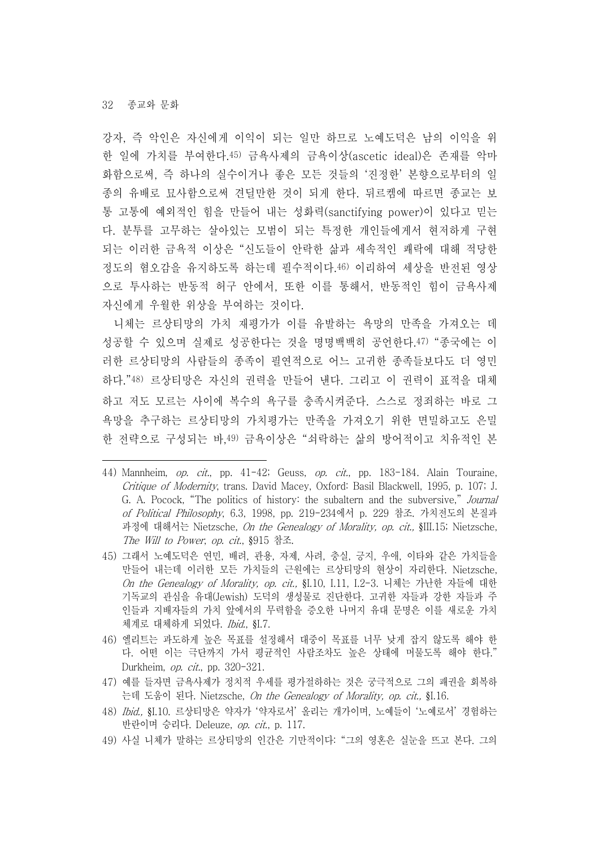강자, 즉 악인은 자신에게 이익이 되는 일만 하므로 노예도덕은 남의 이익을 위 한 일에 가치를 부여한다.45) 금욕사제의 금욕이상(ascetic ideal)은 존재를 악마 화함으로써, 즉 하나의 실수이거나 좋은 모든 것들의 '진정한' 본향으로부터의 일 종의 유배로 묘사함으로써 견딜만한 것이 되게 한다. 뒤르켐에 따르면 종교는 보 통 고통에 예외적인 힘을 만들어 내는 성화력(sanctifying power)이 있다고 믿는 다. 분투를 고무하는 살아있는 모범이 되는 특정한 개인들에게서 현저하게 구현 되는 이러한 금욕적 이상은 "신도들이 안락한 삶과 세속적인 쾌락에 대해 적당한 정도의 혐오감을 유지하도록 하는데 필수적이다.46) 이리하여 세상을 반전된 영상 으로 투사하는 반동적 허구 안에서, 또한 이를 통해서, 반동적인 힘이 금욕사제 자신에게 우월한 위상을 부여하는 것이다.

니체는 르상티망의 가치 재평가가 이를 유발하는 욕망의 만족을 가져오는 데 성공할 수 있으며 실제로 성공한다는 것을 명명백백히 공언한다.47) "종국에는 이 러한 르상티망의 사람들의 종족이 필연적으로 어느 고귀한 종족들보다도 더 영민 하다."48) 르상티망은 자신의 권력을 만들어 낸다. 그리고 이 권력이 표적을 대체 하고 저도 모르는 사이에 복수의 욕구를 충족시켜준다. 스스로 정죄하는 바로 그 욕망을 추구하는 르상티망의 가치평가는 만족을 가져오기 위한 면밀하고도 은밀 한 전략으로 구성되는 바,49) 금욕이상은 "쇠락하는 삶의 방어적이고 치유적인 본

- 44) Mannheim, *op. cit.*, pp.  $41-42$ ; Geuss, *op. cit.*, pp. 183-184. Alain Touraine, Critique of Modernity, trans. David Macey, Oxford: Basil Blackwell, 1995, p. 107; J. G. A. Pocock, "The politics of history: the subaltern and the subversive," Journal of Political Philosophy, 6.3, 1998, pp. 219-234에서 p. 229 참조. 가치전도의 본질과 과정에 대해서는 Nietzsche, On the Genealogy of Morality, op. cit., §III.15; Nietzsche, The Will to Power, op. cit., §915 참조.
- 45) 그래서 노예도덕은 연민, 배려, 관용, 자제, 사려, 충실, 긍지, 우애, 이타와 같은 가치들을 만들어 내는데 이러한 모든 가치들의 근원에는 르상티망의 현상이 자리한다. Nietzsche, On the Genealogy of Morality, op. cit., §I.10, I.11, I.2-3. 니체는 가난한 자들에 대한 기독교의 관심을 유대(Jewish) 도덕의 생성물로 진단한다. 고귀한 자들과 강한 자들과 주 인들과 지배자들의 가치 앞에서의 무력함을 증오한 나머지 유대 문명은 이를 새로운 가치 체계로 대체하게 되었다. *Ibid.*, §I.7.
- 46) 엘리트는 과도하게 높은 목표를 설정해서 대중이 목표를 너무 낮게 잡지 않도록 해야 한 다. 어떤 이는 극단까지 가서 평균적인 사람조차도 높은 상태에 머물도록 해야 한다." Durkheim, op. cit., pp. 320-321.
- 47) 예를 들자면 금욕사제가 정치적 우세를 평가절하하는 것은 궁극적으로 그의 패권을 회복하 는데 도움이 된다. Nietzsche, On the Genealogy of Morality, op. cit., §I.16.
- 48) Ibid., §I.10. 르상티망은 약자가 '약자로서' 올리는 개가이며, 노예들이 '노예로서' 경험하는 반란이며 승리다. Deleuze, op. cit., p. 117.
- 49) 사실 니체가 말하는 르상티망의 인간은 기만적이다: "그의 영혼은 실눈을 뜨고 본다. 그의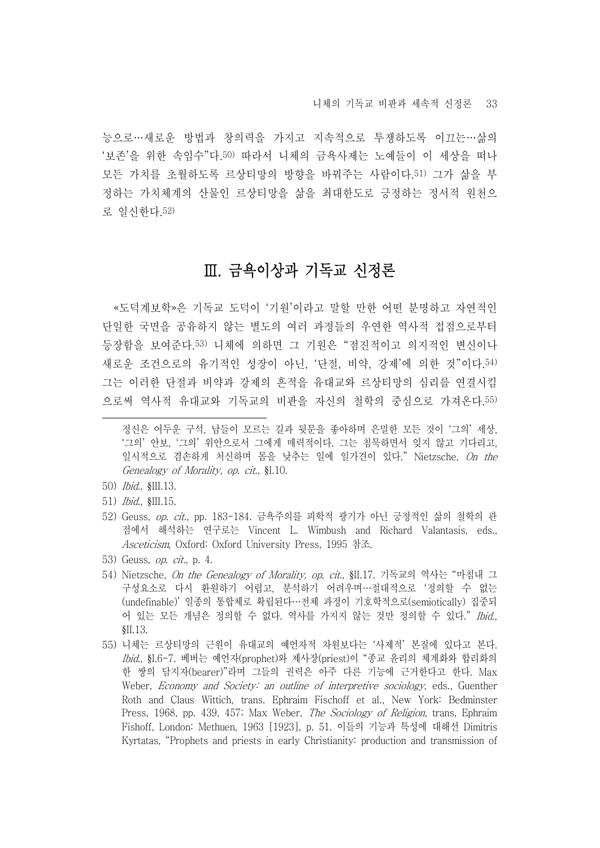능으로…새로운 방법과 창의력을 가지고 지속적으로 투쟁하도록 이끄는…삶의 '보존'을 위한 속임수"다.50) 따라서 니체의 금욕사제는 노예들이 이 세상을 떠나 모든 가치를 초월하도록 르상티망의 방향을 바꿔주는 사람이다.51) 그가 삶을 부 정하는 가치체계의 산물인 르상티망을 삶을 최대한도로 긍정하는 정서적 원천으 로 일신한다.52)

### Ⅲ. 금욕이상과 기독교 신정론

«도덕계보학»은 기독교 도덕이 '기원'이라고 말할 만한 어떤 분명하고 자연적인 단일한 국면을 공유하지 않는 별도의 여러 과정들의 우연한 역사적 접점으로부터 등장함을 보여준다.53) 니체에 의하면 그 기원은 "점진적이고 의지적인 변신이나 새로운 조건으로의 유기적인 성장이 아닌, '단절, 비약, 강제'에 의한 것"이다.54) 그는 이러한 단절과 비약과 강제의 흔적을 유대교와 르상티망의 심리를 연결시킴 으로써 역사적 유대교와 기독교의 비판을 자신의 철학의 중심으로 가져온다.55)

- 50) Ibid., §III.13.
- 51) Ibid., §III.15.
- 52) Geuss, op. cit., pp. 183-184. 금욕주의를 피학적 광기가 아닌 긍정적인 삶의 철학의 관 점에서 해석하는 연구로는 Vincent L. Wimbush and Richard Valantasis, eds., Asceticism, Oxford: Oxford University Press, 1995 참조.
- 53) Geuss, *op. cit.*, p. 4.
- 54) Nietzsche, On the Genealogy of Morality, op. cit., §II.17. 기독교의 역사는 "마침내 그 구성요소로 다시 환원하기 어렵고, 분석하기 어려우며…절대적으로 '정의할 수 없는 (undefinable)' 일종의 통합체로 확립된다…전체 과정이 기호학적으로(semiotically) 집중되 어 있는 모든 개념은 정의할 수 없다. 역사를 가지지 않는 것만 정의할 수 있다."*Ibid.*,<br>§II.13.
- 55) 니체는 르상티망의 근원이 유대교의 예언자적 차원보다는 '사제적' 본질에 있다고 본다. Ibid., §I.6-7. 베버는 예언자(prophet)와 제사장(priest)이 "종교 윤리의 체계화와 합리화의 한 쌍의 담지자(bearer)"라며 그들의 권력은 아주 다른 기능에 근거한다고 한다. Max Weber, Economy and Society: an outline of interpretive sociology, eds., Guenther Roth and Claus Wittich, trans. Ephraim Fischoff et al., New York: Bedminster Press, 1968, pp. 439, 457; Max Weber, *The Sociology of Religion*, trans, Ephraim Fishoff, London: Methuen, 1963 [1923], p. 51. 이들의 기능과 특성에 대해선 Dimitris Kyrtatas, "Prophets and priests in early Christianity: production and transmission of

정신은 어두운 구석, 남들이 모르는 길과 뒷문을 좋아하며 은밀한 모든 것이 '그의' 세상, '그의' 안보, '그의' 위안으로서 그에게 매력적이다. 그는 침묵하면서 잊지 않고 기다리고,<br>일시적으로 겸손하게 처신하며 몸을 낮추는 일에 일가견이 있다." Nietzsche. *On the* Genealogy of Morality, op. cit., §I.10.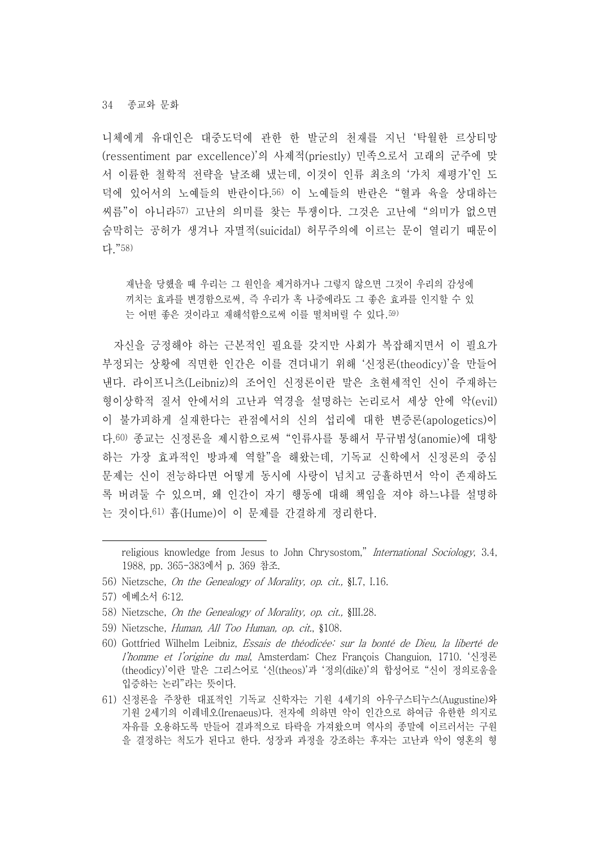니체에게 유대인은 대중도덕에 관한 한 발군의 천재를 지닌 '탁월한 르상티망 (ressentiment par excellence)'의 사제적(priestly) 민족으로서 고래의 군주에 맞 서 이륜한 철학적 전략을 날조해 냈는데, 이것이 인류 최초의 '가치 재평가'인 도 덕에 있어서의 노예들의 반란이다.56) 이 노예들의 반란은 "혈과 육을 상대하는 씨름"이 아니라57) 고난의 의미를 찾는 투쟁이다. 그것은 고난에 "의미가 없으면 숨막히는 공허가 생겨나 자멸적(suicidal) 허무주의에 이르는 문이 열리기 때문이 다."58)

재난을 당했을 때 우리는 그 원인을 제거하거나 그렇지 않으면 그것이 우리의 감성에 끼치는 효과를 변경함으로써, 즉 우리가 혹 나중에라도 그 좋은 효과를 인지할 수 있 는 어떤 좋은 것이라고 재해석함으로써 이를 떨쳐버릴 수 있다.59)

자신을 긍정해야 하는 근본적인 필요를 갖지만 사회가 복잡해지면서 이 필요가 부정되는 상황에 직면한 인간은 이를 견뎌내기 위해 '신정론(theodicy)'을 만들어 낸다. 라이프니츠(Leibniz)의 조어인 신정론이란 말은 초현세적인 신이 주재하는 형이상학적 질서 안에서의 고난과 역경을 설명하는 논리로서 세상 안에 악(evil) 이 불가피하게 실재한다는 관점에서의 신의 섭리에 대한 변증론(apologetics)이 다.60) 종교는 신정론을 제시함으로써 "인류사를 통해서 무규범성(anomie)에 대항 하는 가장 효과적인 방파제 역할"을 해왔는데, 기독교 신학에서 신정론의 중심 문제는 신이 전능하다면 어떻게 동시에 사랑이 넘치고 긍휼하면서 악이 존재하도 록 버려둘 수 있으며, 왜 인간이 자기 행동에 대해 책임을 져야 하느냐를 설명하 는 것이다.61) 흄(Hume)이 이 문제를 간결하게 정리한다.

- 58) Nietzsche, On the Genealogy of Morality, op. cit., §III.28.
- 59) Nietzsche, Human, All Too Human, op. cit., §108.
- 60) Gottfried Wilhelm Leibniz, Essais de théodicée: sur la bonté de Dieu, la liberté de l'homme et l'origine du mal, Amsterdam: Chez François Changuion, 1710. '신정론 (theodicy)'이란 말은 그리스어로 '신(theos)'과 '정의(dikē)'의 합성어로 "신이 정의로움을 입증하는 논리"라는 뜻이다.
- 61) 신정론을 주창한 대표적인 기독교 신학자는 기원 4세기의 아우구스티누스(Augustine)와 기원 2세기의 이레네오(Irenaeus)다. 전자에 의하면 악이 인간으로 하여금 유한한 의지로 자유를 오용하도록 만들어 결과적으로 타락을 가져왔으며 역사의 종말에 이르러서는 구원 을 결정하는 척도가 된다고 한다. 성장과 과정을 강조하는 후자는 고난과 악이 영혼의 형

religious knowledge from Jesus to John Chrysostom," International Sociology, 3.4, 1988, pp. 365-383에서 p. 369 참조.

<sup>56)</sup> Nietzsche, On the Genealogy of Morality, op. cit., §I.7, I.16.

<sup>57)</sup> 에베소서 6:12.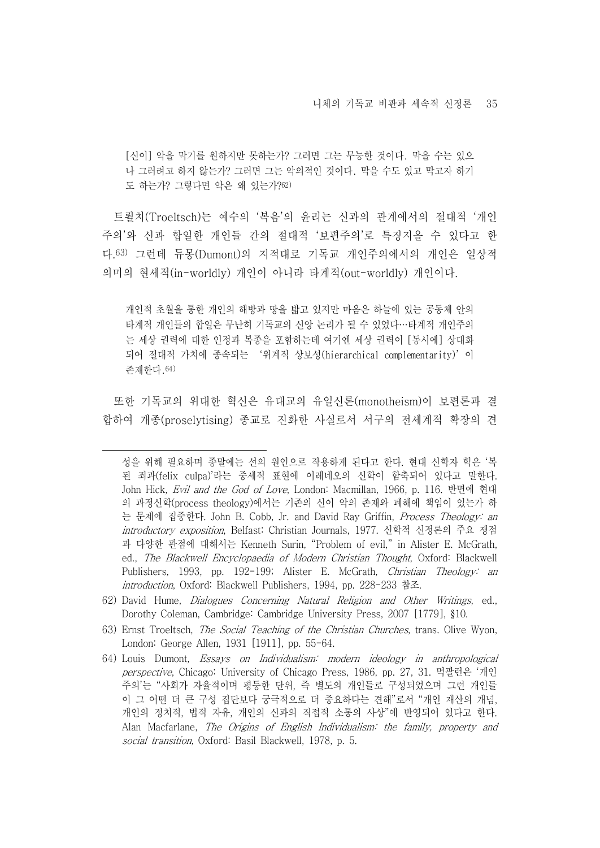[신이] 악을 막기를 원하지만 못하는가? 그러면 그는 무능한 것이다. 막을 수는 있으 나 그러려고 하지 않는가? 그러면 그는 악의적인 것이다. 막을 수도 있고 막고자 하기 도 하는가? 그렇다면 악은 왜 있는가?62)

트뢸치(Troeltsch)는 예수의 '복음'의 윤리는 신과의 관계에서의 절대적 '개인 주의'와 신과 합일한 개인들 간의 절대적 '보편주의'로 특징지을 수 있다고 한 다.63) 그런데 듀몽(Dumont)의 지적대로 기독교 개인주의에서의 개인은 일상적 의미의 현세적(in-worldly) 개인이 아니라 타계적(out-worldly) 개인이다.

개인적 초월을 통한 개인의 해방과 땅을 밟고 있지만 마음은 하늘에 있는 공동체 안의 타계적 개인들의 합일은 무난히 기독교의 신앙 논리가 될 수 있었다…타계적 개인주의 는 세상 권력에 대한 인정과 복종을 포함하는데 여기엔 세상 권력이 [동시에] 상대화 되어 절대적 가치에 종속되는 '위계적 상보성(hierarchical complementarity)'이 존재한다.64)

또한 기독교의 위대한 혁신은 유대교의 유일신론(monotheism)이 보편론과 결 합하여 개종(proselytising) 종교로 진화한 사실로서 서구의 전세계적 확장의 견

성을 위해 필요하며 종말에는 선의 원인으로 작용하게 된다고 한다. 현대 신학자 힉은 '복 된 죄과(felix culpa)'라는 중세적 표현에 이레네오의 신학이 함축되어 있다고 말한다.<br>John Hick, Evil and the God of Love, London: Macmillan, 1966, p. 116. 반면에 현대 의 과정신학(process theology)에서는 기존의 신이 악의 존재와 폐해에 책임이 있는가 하 는 문제에 집중한다. John B. Cobb, Jr. and David Ray Griffin, Process Theology: an introductory exposition, Belfast: Christian Journals, 1977. 신학적 신정론의 주요 쟁점 과 다양한 관점에 대해서는 Kenneth Surin, "Problem of evil," in Alister E. McGrath, ed., The Blackwell Encyclopaedia of Modern Christian Thought, Oxford: Blackwell Publishers, 1993, pp. 192-199; Alister E. McGrath, Christian Theology: an introduction, Oxford: Blackwell Publishers, 1994, pp. 228-233 참조.

<sup>62)</sup> David Hume, Dialogues Concerning Natural Religion and Other Writings, ed., Dorothy Coleman, Cambridge: Cambridge University Press, 2007 [1779], §10.

<sup>63)</sup> Ernst Troeltsch, The Social Teaching of the Christian Churches, trans. Olive Wyon, London: George Allen, 1931 [1911], pp. 55-64.

<sup>64)</sup> Louis Dumont, Essays on Individualism: modern ideology in anthropological perspective, Chicago: University of Chicago Press, 1986, pp. 27, 31. 먹팔런은 '개인 주의'는 "사회가 자율적이며 평등한 단위, 즉 별도의 개인들로 구성되었으며 그런 개인들 이 그 어떤 더 큰 구성 집단보다 궁극적으로 더 중요하다는 견해"로서 "개인 재산의 개념,<br>개인의 정치적, 법적 자유, 개인의 신과의 직접적 소통의 사상"에 반영되어 있다고 한다.<br>Alan Macfarlane. *The Origins of English Individualism: the family, property and* social transition, Oxford: Basil Blackwell, 1978, p. 5.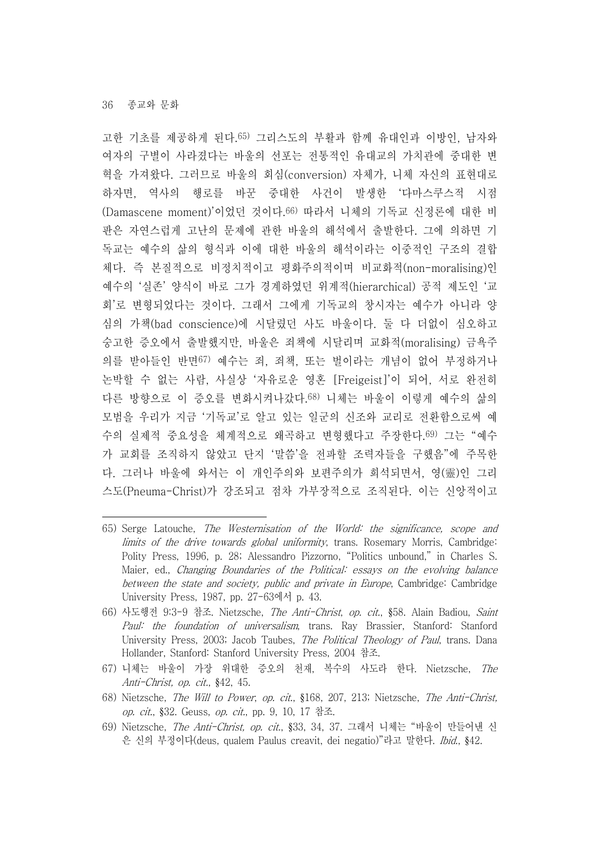고한 기초를 제공하게 된다.65) 그리스도의 부활과 함께 유대인과 이방인, 남자와 여자의 구별이 사라졌다는 바울의 선포는 전통적인 유대교의 가치관에 중대한 변 혁을 가져왔다. 그러므로 바울의 회심(conversion) 자체가, 니체 자신의 표현대로 하자면, 역사의 행로를 바꾼 중대한 사건이 발생한 '다마스쿠스적 시점 (Damascene moment)'이었던 것이다.66) 따라서 니체의 기독교 신정론에 대한 비 판은 자연스럽게 고난의 문제에 관한 바울의 해석에서 출발한다. 그에 의하면 기 독교는 예수의 삶의 형식과 이에 대한 바울의 해석이라는 이중적인 구조의 결합 체다. 즉 본질적으로 비정치적이고 평화주의적이며 비교화적(non-moralising)인 예수의 '실존' 양식이 바로 그가 경계하였던 위계적(hierarchical) 공적 제도인 '교 회'로 변형되었다는 것이다. 그래서 그에게 기독교의 창시자는 예수가 아니라 양 심의 가책(bad conscience)에 시달렸던 사도 바울이다. 둘 다 더없이 심오하고 숭고한 증오에서 출발했지만, 바울은 죄책에 시달리며 교화적(moralising) 금욕주 의를 받아들인 반면67) 예수는 죄, 죄책, 또는 벌이라는 개념이 없어 부정하거나 논박할 수 없는 사람, 사실상 '자유로운 영혼 [Freigeist]'이 되어, 서로 완전히 다른 방향으로 이 증오를 변화시켜나갔다.68) 니체는 바울이 이렇게 예수의 삶의 모범을 우리가 지금 '기독교'로 알고 있는 일군의 신조와 교리로 전환함으로써 예 수의 실제적 중요성을 체계적으로 왜곡하고 변형했다고 주장한다.69) 그는 "예수 가 교회를 조직하지 않았고 단지 '말씀'을 전파할 조력자들을 구했음"에 주목한 다. 그러나 바울에 와서는 이 개인주의와 보편주의가 희석되면서, 영(靈)인 그리 스도(Pneuma-Christ)가 강조되고 점차 가부장적으로 조직된다. 이는 신앙적이고

- 67) 니체는 바울이 가장 위대한 증오의 천재, 복수의 사도라 한다. Nietzsche, The Anti-Christ, op. cit., §42, 45.
- 68) Nietzsche, The Will to Power, op. cit., §168, 207, 213; Nietzsche, The Anti-Christ, op. cit., §32. Geuss, op. cit., pp. 9, 10, 17 참조.
- 69) Nietzsche, The Anti-Christ, op. cit., §33, 34, 37. 그래서 니체는 "바울이 만들어낸 신 은 신의 부정이다(deus, qualem Paulus creavit, dei negatio)"라고 말한다. Ibid., §42.

<sup>65)</sup> Serge Latouche, The Westernisation of the World: the significance, scope and limits of the drive towards global uniformity, trans. Rosemary Morris, Cambridge: Polity Press, 1996, p. 28; Alessandro Pizzorno, "Politics unbound," in Charles S. Maier, ed., Changing Boundaries of the Political: essays on the evolving balance between the state and society, public and private in Europe, Cambridge: Cambridge University Press, 1987, pp. 27-63에서 p. 43.

<sup>66)</sup> 사도행전 9:3-9 참조. Nietzsche, The Anti-Christ, op. cit., §58. Alain Badiou, Saint Paul: the foundation of universalism, trans. Ray Brassier, Stanford: Stanford University Press, 2003; Jacob Taubes, The Political Theology of Paul, trans. Dana Hollander, Stanford: Stanford University Press, 2004 참조.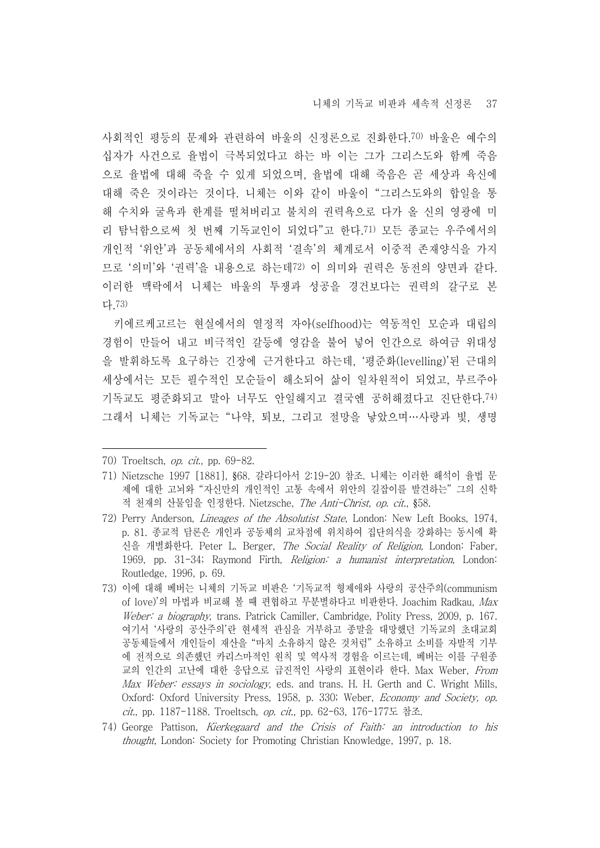사회적인 평등의 문제와 관련하여 바울의 신정론으로 진화한다.70) 바울은 예수의 십자가 사건으로 율법이 극복되었다고 하는 바 이는 그가 그리스도와 함께 죽음 으로 율법에 대해 죽을 수 있게 되었으며, 율법에 대해 죽음은 곧 세상과 육신에 대해 죽은 것이라는 것이다. 니체는 이와 같이 바울이 "그리스도와의 합일을 통 해 수치와 굴욕과 한계를 떨쳐버리고 불치의 권력욕으로 다가 올 신의 영광에 미 리 탐닉함으로써 첫 번째 기독교인이 되었다"고 한다.71) 모든 종교는 우주에서의 개인적 '위안'과 공동체에서의 사회적 '결속'의 체계로서 이중적 존재양식을 가지 므로 '의미'와 '권력'을 내용으로 하는데72) 이 의미와 권력은 동전의 양면과 같다.<br>이러한 맥락에서 니체는 바울의 투쟁과 성공을 경건보다는 권력의 갈구로 본 다.73)

키에르케고르는 현실에서의 열정적 자아(selfhood)는 역동적인 모순과 대립의 경험이 만들어 내고 비극적인 갈등에 영감을 불어 넣어 인간으로 하여금 위대성 을 발휘하도록 요구하는 긴장에 근거한다고 하는데, '평준화(levelling)'된 근대의 세상에서는 모든 필수적인 모순들이 해소되어 삶이 일차원적이 되었고, 부르주아 기독교도 평준화되고 말아 너무도 안일해지고 결국엔 공허해졌다고 진단한다.74) 그래서 니체는 기독교는 "나약, 퇴보, 그리고 절망을 낳았으며…사랑과 빛, 생명

- 73) 이에 대해 베버는 니체의 기독교 비판은 '기독교적 형제애와 사랑의 공산주의(communism of love)'의 마법과 비교해 볼 때 편협하고 무분별하다고 비판한다. Joachim Radkau, Max Weber: a biography, trans. Patrick Camiller, Cambridge, Polity Press, 2009, p. 167. 여기서 '사랑의 공산주의'란 현세적 관심을 거부하고 종말을 대망했던 기독교의 초대교회 공동체들에서 개인들이 재산을 "마치 소유하지 않은 것처럼" 소유하고 소비를 자발적 기부 에 전적으로 의존했던 카리스마적인 원칙 및 역사적 경험을 이르는데, 베버는 이를 구원종 교의 인간의 고난에 대한 응답으로 급진적인 사랑의 표현이라 한다. Max Weber, From Max Weber: essays in sociology, eds. and trans. H. H. Gerth and C. Wright Mills, Oxford: Oxford University Press, 1958, p. 330; Weber, Economy and Society, op. cit., pp. 1187-1188. Troeltsch, op. cit., pp. 62-63, 176-177도 참조.
- 74) George Pattison, Kierkegaard and the Crisis of Faith: an introduction to his thought, London: Society for Promoting Christian Knowledge, 1997, p. 18.

<sup>70)</sup> Troeltsch, op. cit., pp. 69-82.

<sup>71)</sup> Nietzsche 1997 [1881], §68. 갈라디아서 2:19-20 참조. 니체는 이러한 해석이 율법 문 제에 대한 고뇌와 "자신만의 개인적인 고통 속에서 위안의 길잡이를 발견하는" 그의 신학 적 천재의 산물임을 인정한다. Nietzsche, The Anti-Christ, op. cit., §58.

<sup>72)</sup> Perry Anderson, Lineages of the Absolutist State, London: New Left Books, 1974, p. 81. 종교적 담론은 개인과 공동체의 교차점에 위치하여 집단의식을 강화하는 동시에 확 신을 개별화한다. Peter L. Berger, The Social Reality of Religion, London: Faber, 1969, pp. 31-34; Raymond Firth, Religion: a humanist interpretation, London: Routledge, 1996, p. 69.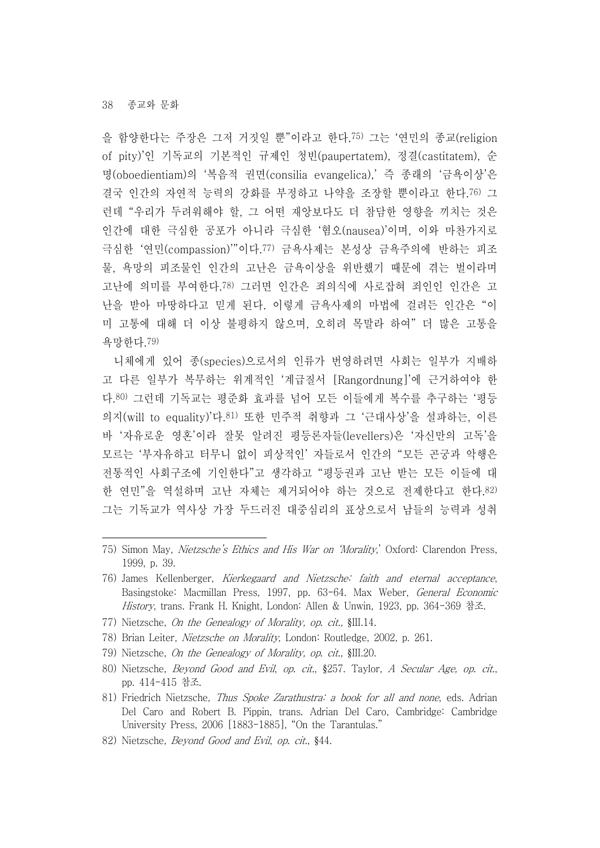을 함양한다는 주장은 그저 거짓일 뿐"이라고 한다.75) 그는 '연민의 종교(religion of pity)'인 기독교의 기본적인 규제인 청빈(paupertatem), 정결(castitatem), 순 명(oboedientiam)의 '복음적 권면(consilia evangelica),' 즉 종래의 '금욕이상'은 결국 인간의 자연적 능력의 강화를 부정하고 나약을 조장할 뿐이라고 한다.76) 그 런데 "우리가 두려워해야 할, 그 어떤 재앙보다도 더 참담한 영향을 끼치는 것은 인간에 대한 극심한 공포가 아니라 극심한 '혐오(nausea)'이며, 이와 마찬가지로 극심한 '연민(compassion)'"이다.77) 금욕사제는 본성상 금욕주의에 반하는 피조 물, 욕망의 피조물인 인간의 고난은 금욕이상을 위반했기 때문에 겪는 벌이라며 고난에 의미를 부여한다.78) 그러면 인간은 죄의식에 사로잡혀 죄인인 인간은 고 난을 받아 마땅하다고 믿게 된다. 이렇게 금욕사제의 마법에 걸려든 인간은 "이 미 고통에 대해 더 이상 불평하지 않으며, 오히려 목말라 하여" 더 많은 고통을 욕망한다.79)

니체에게 있어 종(species)으로서의 인류가 번영하려면 사회는 일부가 지배하 고 다른 일부가 복무하는 위계적인 '계급질서 [Rangordnung]'에 근거하여야 한 다.80) 그런데 기독교는 평준화 효과를 넘어 모든 이들에게 복수를 추구하는 '평등 의지(will to equality)'다.81) 또한 민주적 취향과 그 '근대사상'을 설파하는, 이른 바 '자유로운 영혼'이라 잘못 알려진 평등론자들(levellers)은 '자신만의 고독'을 모르는 '부자유하고 터무니 없이 피상적인' 자들로서 인간의 "모든 곤궁과 악행은 전통적인 사회구조에 기인한다"고 생각하고 "평등권과 고난 받는 모든 이들에 대 한 연민"을 역설하며 고난 자체는 제거되어야 하는 것으로 전제한다고 한다.82) 그는 기독교가 역사상 가장 두드러진 대중심리의 표상으로서 남들의 능력과 성취

- 77) Nietzsche, On the Genealogy of Morality, op. cit., §III.14.
- 78) Brian Leiter, Nietzsche on Morality, London: Routledge, 2002, p. 261.
- 79) Nietzsche, On the Genealogy of Morality, op. cit., §III.20.
- 80) Nietzsche, *Beyond Good and Evil*, *op. cit.*, §257. Taylor, *A Secular Age, op. cit.*, pp. 414-415 참조.
- 81) Friedrich Nietzsche, Thus Spoke Zarathustra: a book for all and none, eds. Adrian Del Caro and Robert B. Pippin, trans. Adrian Del Caro, Cambridge: Cambridge University Press, 2006 [1883-1885], "On the Tarantulas."
- 82) Nietzsche, Beyond Good and Evil, op. cit., §44.

<sup>75)</sup> Simon May, Nietzsche's Ethics and His War on 'Morality,' Oxford: Clarendon Press, 1999, p. 39.

<sup>76)</sup> James Kellenberger, Kierkegaard and Nietzsche: faith and eternal acceptance, Basingstoke: Macmillan Press, 1997, pp. 63-64. Max Weber, General Economic History, trans. Frank H. Knight, London: Allen & Unwin, 1923, pp. 364-369 참조.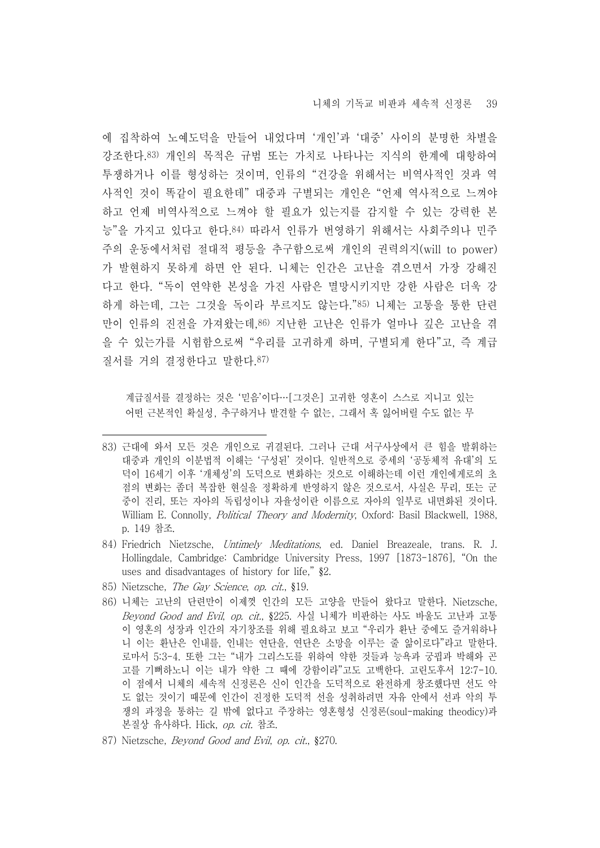에 집착하여 노예도덕을 만들어 내었다며 '개인'과 '대중' 사이의 분명한 차별을 강조한다.83) 개인의 목적은 규범 또는 가치로 나타나는 지식의 한계에 대항하여 투쟁하거나 이를 형성하는 것이며, 인류의 "건강을 위해서는 비역사적인 것과 역 사적인 것이 똑같이 필요한데" 대중과 구별되는 개인은 "언제 역사적으로 느껴야 하고 언제 비역사적으로 느껴야 할 필요가 있는지를 감지할 수 있는 강력한 본 능"을 가지고 있다고 한다.84) 따라서 인류가 번영하기 위해서는 사회주의나 민주 주의 운동에서처럼 절대적 평등을 추구함으로써 개인의 권력의지(will to power) 가 발현하지 못하게 하면 안 된다. 니체는 인간은 고난을 겪으면서 가장 강해진 다고 한다. "독이 연약한 본성을 가진 사람은 멸망시키지만 강한 사람은 더욱 강 하게 하는데, 그는 그것을 독이라 부르지도 않는다."85) 니체는 고통을 통한 단련 만이 인류의 진전을 가져왔는데,86) 지난한 고난은 인류가 얼마나 깊은 고난을 겪 을 수 있는가를 시험함으로써 "우리를 고귀하게 하며, 구별되게 한다"고, 즉 계급 질서를 거의 결정한다고 말한다.87)

계급질서를 결정하는 것은 '믿음'이다…[그것은] 고귀한 영혼이 스스로 지니고 있는 어떤 근본적인 확실성, 추구하거나 발견할 수 없는, 그래서 혹 잃어버릴 수도 없는 무

- 84) Friedrich Nietzsche, Untimely Meditations, ed. Daniel Breazeale, trans. R. J. Hollingdale, Cambridge: Cambridge University Press, 1997 [1873-1876], "On the uses and disadvantages of history for life," §2.
- 85) Nietzsche, The Gay Science, op. cit., §19.
- 86) 니체는 고난의 단련만이 이제껏 인간의 모든 고양을 만들어 왔다고 말한다. Nietzsche, Beyond Good and Evil, op. cit., §225. 사실 니체가 비판하는 사도 바울도 고난과 고통 이 영혼의 성장과 인간의 자기창조를 위해 필요하고 보고 "우리가 환난 중에도 즐거워하나 니 이는 환난은 인내를, 인내는 연단을, 연단은 소망을 이루는 줄 앎이로다"라고 말한다.<br>로마서 5:3-4. 또한 그는 "내가 그리스도를 위하여 약한 것들과 능욕과 궁핍과 박해와 곤 고를 기뻐하노니 이는 내가 약한 그 때에 강함이라"고도 고백한다. 고린도후서 12:7-10. 이 점에서 니체의 세속적 신정론은 신이 인간을 도덕적으로 완전하게 창조했다면 선도 악 도 없는 것이기 때문에 인간이 진정한 도덕적 선을 성취하려면 자유 안에서 선과 악의 투 쟁의 과정을 통하는 길 밖에 없다고 주장하는 영혼형성 신정론(soul-making theodicy)과 본질상 유사하다. Hick, op. cit. 참조.
- 87) Nietzsche, Beyond Good and Evil, op. cit., §270.

<sup>83)</sup> 근대에 와서 모든 것은 개인으로 귀결된다. 그러나 근대 서구사상에서 큰 힘을 발휘하는 대중과 개인의 이분법적 이해는 '구성된' 것이다. 일반적으로 중세의 '공동체적 유대'의 도 덕이 16세기 이후 '개체성'의 도덕으로 변화하는 것으로 이해하는데 이런 개인에게로의 초 점의 변화는 좀더 복잡한 현실을 정확하게 반영하지 않은 것으로서, 사실은 무리, 또는 군 중이 진리, 또는 자아의 독립성이나 자율성이란 이름으로 자아의 일부로 내면화된 것이다.<br>William E. Connolly, *Political Theory and Modernity*, Oxford: Basil Blackwell, 1988, p. 149 참조.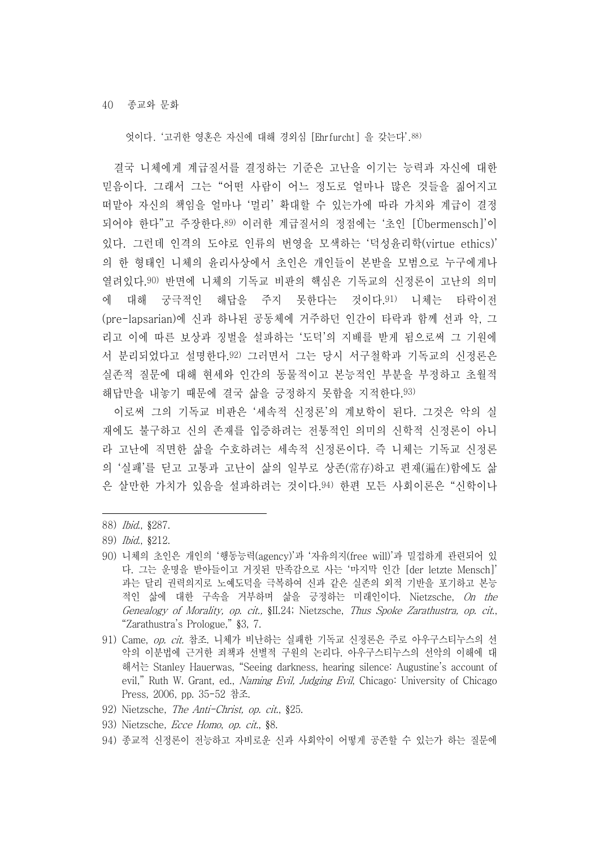엇이다. '고귀한 영혼은 자신에 대해 경외심 [Ehrfurcht] 을 갖는다'.88)

결국 니체에게 계급질서를 결정하는 기준은 고난을 이기는 능력과 자신에 대한 믿음이다. 그래서 그는 "어떤 사람이 어느 정도로 얼마나 많은 것들을 짊어지고 떠맡아 자신의 책임을 얼마나 '멀리' 확대할 수 있는가에 따라 가치와 계급이 결정 되어야 한다"고 주장한다.89) 이러한 계급질서의 정점에는 '초인 [Übermensch]'이 있다. 그런데 인격의 도야로 인류의 번영을 모색하는 '덕성윤리학(virtue ethics)' 의 한 형태인 니체의 윤리사상에서 초인은 개인들이 본받을 모범으로 누구에게나 열려있다.90) 반면에 니체의 기독교 비판의 핵심은 기독교의 신정론이 고난의 의미 에 대해 궁극적인 해답을 주지 못한다는 것이다.91) 니체는 타락이전 (pre-lapsarian)에 신과 하나된 공동체에 거주하던 인간이 타락과 함께 선과 악, 그 리고 이에 따른 보상과 징벌을 설파하는 '도덕'의 지배를 받게 됨으로써 그 기원에 서 분리되었다고 설명한다.92) 그러면서 그는 당시 서구철학과 기독교의 신정론은 실존적 질문에 대해 현세와 인간의 동물적이고 본능적인 부분을 부정하고 초월적 해답만을 내놓기 때문에 결국 삶을 긍정하지 못함을 지적한다.93)

이로써 그의 기독교 비판은 '세속적 신정론'의 계보학이 된다. 그것은 악의 실 재에도 불구하고 신의 존재를 입증하려는 전통적인 의미의 신학적 신정론이 아니 라 고난에 직면한 삶을 수호하려는 세속적 신정론이다. 즉 니체는 기독교 신정론 의 '실패'를 딛고 고통과 고난이 삶의 일부로 상존(常存)하고 편재(遍在)함에도 삶 은 살만한 가치가 있음을 설파하려는 것이다.94) 한편 모든 사회이론은 "신학이나

- 92) Nietzsche, The Anti-Christ, op. cit., §25.
- 93) Nietzsche, Ecce Homo, op. cit., §8.
- 94) 종교적 신정론이 전능하고 자비로운 신과 사회악이 어떻게 공존할 수 있는가 하는 질문에

<sup>88)</sup> Ibid., §287.

<sup>89)</sup> Ibid., §212.

<sup>90)</sup> 니체의 초인은 개인의 '행동능력(agency)'과 '자유의지(free will)'과 밀접하게 관련되어 있 다. 그는 운명을 받아들이고 거짓된 만족감으로 사는 '마지막 인간 [der letzte Mensch]' 과는 달리 권력의지로 노예도덕을 극복하여 신과 같은 실존의 외적 기반을 포기하고 본능 적인 삶에 대한 구속을 거부하며 삶을 긍정하는 미래인이다. Nietzsche, On the Genealogy of Morality, op. cit., §II.24; Nietzsche, Thus Spoke Zarathustra, op. cit., "Zarathustra's Prologue," §3, 7.

<sup>91)</sup> Came, op. cit. 참조. 니체가 비난하는 실패한 기독교 신정론은 주로 아우구스티누스의 선 악의 이분법에 근거한 죄책과 선별적 구원의 논리다. 아우구스티누스의 선악의 이해에 대 해서는 Stanley Hauerwas, "Seeing darkness, hearing silence: Augustine's account of evil," Ruth W. Grant, ed., *Naming Evil, Judging Evil*, Chicago: University of Chicago Press, 2006, pp. 35-52 참조.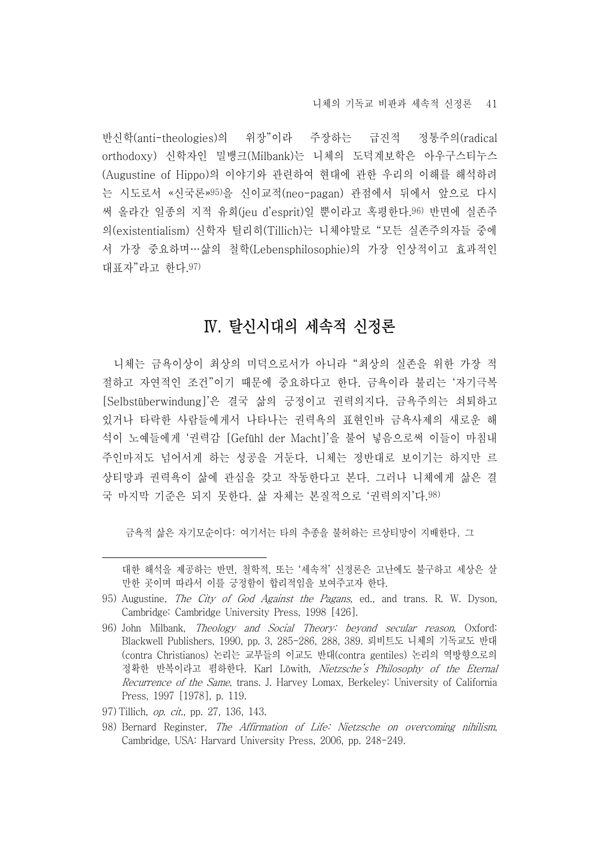니체의 기독교 비판과 세속적 신정론 41

반신학(anti-theologies)의 위장"이라 주장하는 급진적 정통주의(radical orthodoxy) 신학자인 밀뱅크(Milbank)는 니체의 도덕계보학은 아우구스티누스 (Augustine of Hippo)의 이야기와 관련하여 현대에 관한 우리의 이해를 해석하려 는 시도로서 «신국론»95)을 신이교적(neo-pagan) 관점에서 뒤에서 앞으로 다시 써 올라간 일종의 지적 유희(jeu d'esprit)일 뿐이라고 혹평한다.96) 반면에 실존주 의(existentialism) 신학자 틸리히(Tillich)는 니체야말로 "모든 실존주의자들 중에 서 가장 중요하며…삶의 철학(Lebensphilosophie)의 가장 인상적이고 효과적인 대표자"라고 한다.97)

### Ⅳ. 탈신시대의 세속적 신정론

니체는 금욕이상이 최상의 미덕으로서가 아니라 "최상의 실존을 위한 가장 적 절하고 자연적인 조건"이기 때문에 중요하다고 한다. 금욕이라 불리는 '자기극복 [Selbstüberwindung]'은 결국 삶의 긍정이고 권력의지다. 금욕주의는 쇠퇴하고 있거나 타락한 사람들에게서 나타나는 권력욕의 표현인바 금욕사제의 새로운 해 석이 노예들에게 '권력감 [Gefühl der Macht]'을 불어 넣음으로써 이들이 마침내 주인마저도 넘어서게 하는 성공을 거둔다. 니체는 정반대로 보이기는 하지만 르 상티망과 권력욕이 삶에 관심을 갖고 작동한다고 본다. 그러나 니체에게 삶은 결 국 마지막 기준은 되지 못한다. 삶 자체는 본질적으로 '권력의지'다.98)

금욕적 삶은 자기모순이다: 여기서는 타의 추종을 불허하는 르상티망이 지배한다. 그

- 97) Tillich, op. cit., pp. 27, 136, 143.
- 98) Bernard Reginster, The Affirmation of Life: Nietzsche on overcoming nihilism, Cambridge, USA: Harvard University Press, 2006, pp. 248-249.

대한 해석을 제공하는 반면, 철학적, 또는 '세속적' 신정론은 고난에도 불구하고 세상은 살 만한 곳이며 따라서 이를 긍정함이 합리적임을 보여주고자 한다.

<sup>95)</sup> Augustine, The City of God Against the Pagans, ed., and trans. R. W. Dyson, Cambridge: Cambridge University Press, 1998 [426].

<sup>96)</sup> John Milbank, Theology and Social Theory: beyond secular reason, Oxford: Blackwell Publishers, 1990, pp. 3, 285-286, 288, 389. 뢰비트도 니체의 기독교도 반대 (contra Christianos) 논리는 교부들의 이교도 반대(contra gentiles) 논리의 역방향으로의 정확한 반복이라고 폄하한다. Karl Löwith, Nietzsche's Philosophy of the Eternal Recurrence of the Same, trans. J. Harvey Lomax, Berkeley: University of California Press, 1997 [1978], p. 119.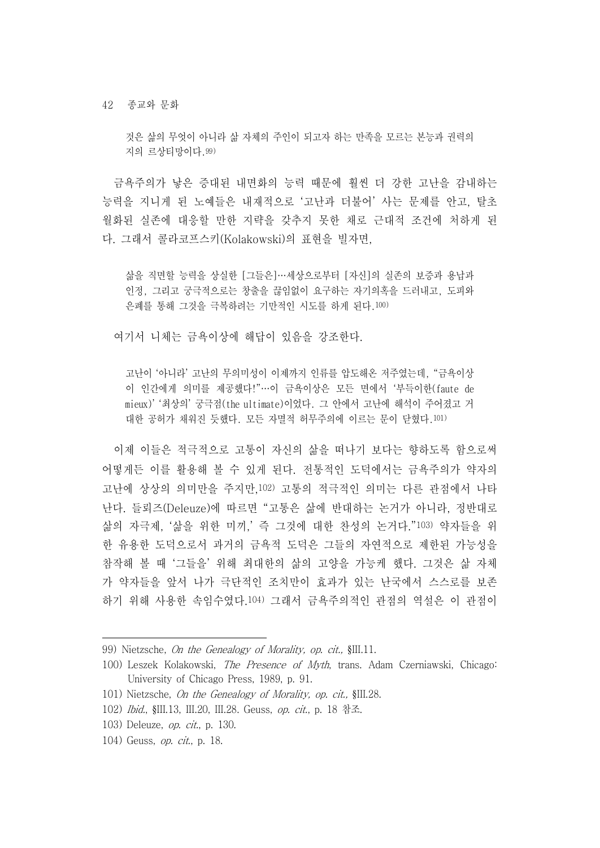것은 삶의 무엇이 아니라 삶 자체의 주인이 되고자 하는 만족을 모르는 본능과 권력의 지의 르상티망이다.99)

금욕주의가 낳은 증대된 내면화의 능력 때문에 훨씬 더 강한 고난을 감내하는 능력을 지니게 된 노예들은 내재적으로 '고난과 더불어' 사는 문제를 안고, 탈초 월화된 실존에 대응할 만한 지략을 갖추지 못한 채로 근대적 조건에 처하게 된 다. 그래서 콜라코프스키(Kolakowski)의 표현을 빌자면,

삶을 직면할 능력을 상실한 [그들은]…세상으로부터 [자신]의 실존의 보증과 용납과 인정, 그리고 궁극적으로는 창출을 끊임없이 요구하는 자기의혹을 드러내고, 도피와 은폐를 통해 그것을 극복하려는 기만적인 시도를 하게 된다.100)

여기서 니체는 금욕이상에 해답이 있음을 강조한다.

고난이 '아니라' 고난의 무의미성이 이제까지 인류를 압도해온 저주였는데, "금욕이상 이 인간에게 의미를 제공했다!"…이 금욕이상은 모든 면에서 '부득이한(faute de mieux)' '최상의' 궁극점(the ultimate)이었다. 그 안에서 고난에 해석이 주어졌고 거 대한 공허가 채워진 듯했다. 모든 자멸적 허무주의에 이르는 문이 닫혔다.101)

이제 이들은 적극적으로 고통이 자신의 삶을 떠나기 보다는 향하도록 함으로써 어떻게든 이를 활용해 볼 수 있게 된다. 전통적인 도덕에서는 금욕주의가 약자의 고난에 상상의 의미만을 주지만,102) 고통의 적극적인 의미는 다른 관점에서 나타 난다. 들뢰즈(Deleuze)에 따르면 "고통은 삶에 반대하는 논거가 아니라, 정반대로 삶의 자극제, '삶을 위한 미끼,' 즉 그것에 대한 찬성의 논거다."103) 약자들을 위 한 유용한 도덕으로서 과거의 금욕적 도덕은 그들의 자연적으로 제한된 가능성을 참작해 볼 때 '그들을' 위해 최대한의 삶의 고양을 가능케 했다. 그것은 삶 자체 가 약자들을 앞서 나가 극단적인 조치만이 효과가 있는 난국에서 스스로를 보존 하기 위해 사용한 속임수였다.104) 그래서 금욕주의적인 관점의 역설은 이 관점이

<sup>99)</sup> Nietzsche, On the Genealogy of Morality, op. cit., §III.11.

<sup>100)</sup> Leszek Kolakowski, The Presence of Myth, trans. Adam Czerniawski, Chicago: University of Chicago Press, 1989, p. 91.

<sup>101)</sup> Nietzsche, On the Genealogy of Morality, op. cit., §III.28.

<sup>102)</sup> Ibid., §III.13, III.20, III.28. Geuss, op. cit., p. 18 참조.

<sup>103)</sup> Deleuze, op. cit., p. 130.

<sup>104)</sup> Geuss, op. cit., p. 18.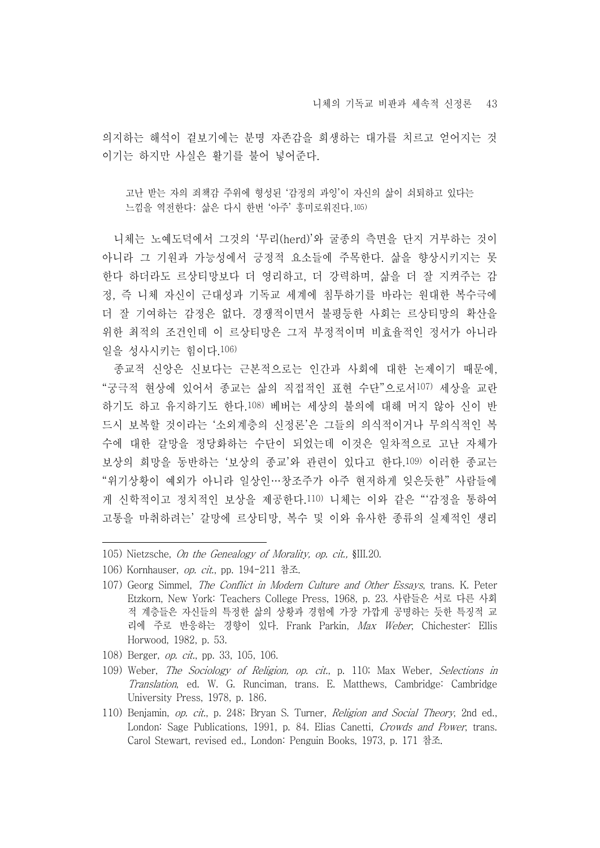의지하는 해석이 겉보기에는 분명 자존감을 희생하는 대가를 치르고 얻어지는 것 이기는 하지만 사실은 활기를 불어 넣어준다.

고난 받는 자의 죄책감 주위에 형성된 '감정의 과잉'이 자신의 삶이 쇠퇴하고 있다는 느낌을 역전한다: 삶은 다시 한번 '아주' 흥미로워진다.105)

니체는 노예도덕에서 그것의 '무리(herd)'와 굴종의 측면을 단지 거부하는 것이 아니라 그 기원과 가능성에서 긍정적 요소들에 주목한다. 삶을 향상시키지는 못 한다 하더라도 르상티망보다 더 영리하고, 더 강력하며, 삶을 더 잘 지켜주는 감 정, 즉 니체 자신이 근대성과 기독교 세계에 침투하기를 바라는 원대한 복수극에 더 잘 기여하는 감정은 없다. 경쟁적이면서 불평등한 사회는 르상티망의 확산을 위한 최적의 조건인데 이 르상티망은 그저 부정적이며 비효율적인 정서가 아니라 일을 성사시키는 힘이다.106)

- 종교적 신앙은 신보다는 근본적으로는 인간과 사회에 대한 논제이기 때문에,<br>"궁극적 현상에 있어서 종교는 삶의 직접적인 표현 수단"으로서107) 세상을 교란 하기도 하고 유지하기도 한다.108) 베버는 세상의 불의에 대해 머지 않아 신이 반 드시 보복할 것이라는 '소외계층의 신정론'은 그들의 의식적이거나 무의식적인 복 수에 대한 갈망을 정당화하는 수단이 되었는데 이것은 일차적으로 고난 자체가 보상의 희망을 동반하는 '보상의 종교'와 관련이 있다고 한다.<sup>109)</sup> 이러한 종교는<br>"위기상황이 예외가 아니라 일상인…창조주가 아주 현저하게 잊은듯한"사람들에 게 신학적이고 정치적인 보상을 제공한다.110) 니체는 이와 같은 "'감정을 통하여 고통을 마취하려는' 갈망에 르상티망, 복수 및 이와 유사한 종류의 실제적인 생리

105) Nietzsche, On the Genealogy of Morality, op. cit., §III.20.

- 108) Berger, op. cit., pp. 33, 105, 106.
- 109) Weber, The Sociology of Religion, op. cit., p. 110; Max Weber, Selections in Translation, ed. W. G. Runciman, trans. E. Matthews, Cambridge: Cambridge University Press, 1978, p. 186.
- 110) Benjamin, op. cit., p. 248; Bryan S. Turner, Religion and Social Theory, 2nd ed., London: Sage Publications, 1991, p. 84. Elias Canetti, Crowds and Power, trans. Carol Stewart, revised ed., London: Penguin Books, 1973, p. 171 참조.

<sup>106)</sup> Kornhauser, op. cit., pp. 194-211 참조.

<sup>107)</sup> Georg Simmel, The Conflict in Modern Culture and Other Essays, trans. K. Peter Etzkorn, New York: Teachers College Press, 1968, p. 23. 사람들은 서로 다른 사회 적 계층들은 자신들의 특정한 삶의 상황과 경험에 가장 가깝게 공명하는 듯한 특징적 교 리에 주로 반응하는 경향이 있다. Frank Parkin, Max Weber, Chichester: Ellis Horwood, 1982, p. 53.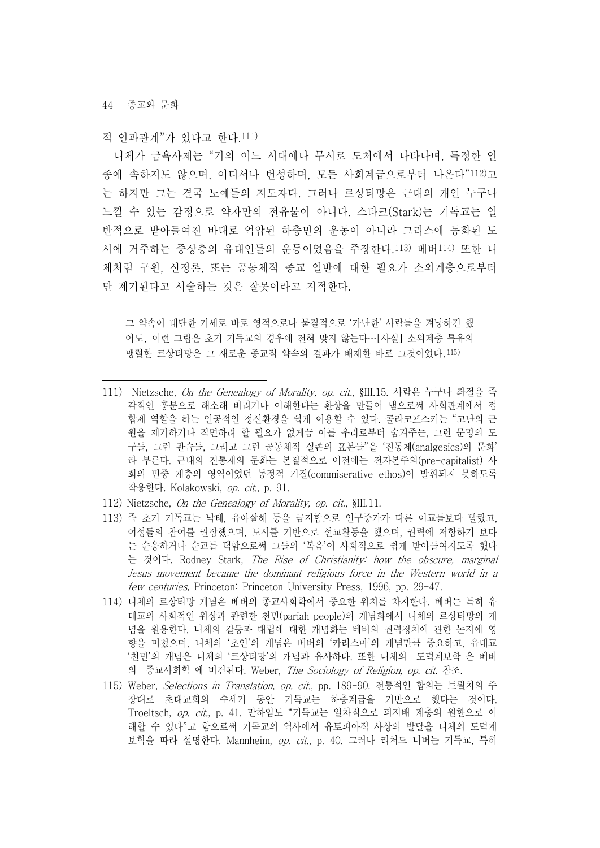적 인과관계"가 있다고 한다.111)

니체가 금욕사제는 "거의 어느 시대에나 무시로 도처에서 나타나며, 특정한 인 종에 속하지도 않으며, 어디서나 번성하며, 모든 사회계급으로부터 나온다"112)고 는 하지만 그는 결국 노예들의 지도자다. 그러나 르상티망은 근대의 개인 누구나 느낄 수 있는 감정으로 약자만의 전유물이 아니다. 스타크(Stark)는 기독교는 일 반적으로 받아들여진 바대로 억압된 하층민의 운동이 아니라 그리스에 동화된 도 시에 거주하는 중상층의 유대인들의 운동이었음을 주장한다.113) 베버114) 또한 니 체처럼 구원, 신정론, 또는 공동체적 종교 일반에 대한 필요가 소외계층으로부터 만 제기된다고 서술하는 것은 잘못이라고 지적한다.

그 약속이 대단한 기세로 바로 영적으로나 물질적으로 '가난한' 사람들을 겨냥하긴 했 어도, 이런 그림은 초기 기독교의 경우에 전혀 맞지 않는다…[사실] 소외계층 특유의 맹렬한 르상티망은 그 새로운 종교적 약속의 결과가 배제한 바로 그것이었다.115)

- 111) Nietzsche, On the Genealogy of Morality, op. cit., §III.15. 사람은 누구나 좌절을 즉 각적인 흥분으로 해소해 버리거나 이해한다는 환상을 만들어 냄으로써 사회관계에서 접 합제 역할을 하는 인공적인 정신환경을 쉽게 이용할 수 있다. 콜라코프스키는 "고난의 근 원을 제거하거나 직면하려 할 필요가 없게끔 이를 우리로부터 숨겨주는, 그런 문명의 도 구들, 그런 관습들, 그리고 그런 공동체적 실존의 표본들"을 '진통제(analgesics)의 문화' 라 부른다. 근대의 진통제의 문화는 본질적으로 이전에는 전자본주의(pre-capitalist) 사 회의 민중 계층의 영역이었던 동정적 기질(commiserative ethos)이 발휘되지 못하도록 작용한다. Kolakowski, op. cit., p. 91.
- 112) Nietzsche, On the Genealogy of Morality, op. cit., §III.11.
- 113) 즉 초기 기독교는 낙태, 유아살해 등을 금지함으로 인구증가가 다른 이교들보다 빨랐고, 여성들의 참여를 권장했으며, 도시를 기반으로 선교활동을 했으며, 권력에 저항하기 보다 는 순응하거나 순교를 택함으로써 그들의 '복음'이 사회적으로 쉽게 받아들여지도록 했다 는 것이다. Rodney Stark, The Rise of Christianity: how the obscure, marginal Jesus movement became the dominant religious force in the Western world in a few centuries, Princeton: Princeton University Press, 1996, pp. 29-47.
- 114) 니체의 르상티망 개념은 베버의 종교사회학에서 중요한 위치를 차지한다. 베버는 특히 유 대교의 사회적인 위상과 관련한 천민(pariah people)의 개념화에서 니체의 르상티망의 개 념을 원용한다. 니체의 갈등과 대립에 대한 개념화는 베버의 권력정치에 관한 논지에 영 향을 미쳤으며, 니체의 '초인'의 개념은 베버의 '카리스마'의 개념만큼 중요하고, 유대교 '천민'의 개념은 니체의 '르상티망'의 개념과 유사하다. 또한 니체의 도덕계보학 은 베버 의 종교사회학 에 비견된다. Weber, The Sociology of Religion, op. cit. 참조.
- 115) Weber, Selections in Translation, op. cit., pp. 189-90. 전통적인 합의는 트뢸치의 주 장대로 초대교회의 수세기 동안 기독교는 하층계급을 기반으로 했다는 것이다.<br>Troeltsch, op. cit., p. 41. 만하임도 "기독교는 일차적으로 피지배 계층의 원한으로 이 해할 수 있다"고 함으로써 기독교의 역사에서 유토피아적 사상의 발달을 니체의 도덕계 보학을 따라 설명한다. Mannheim, op. cit., p. 40. 그러나 리처드 니버는 기독교, 특히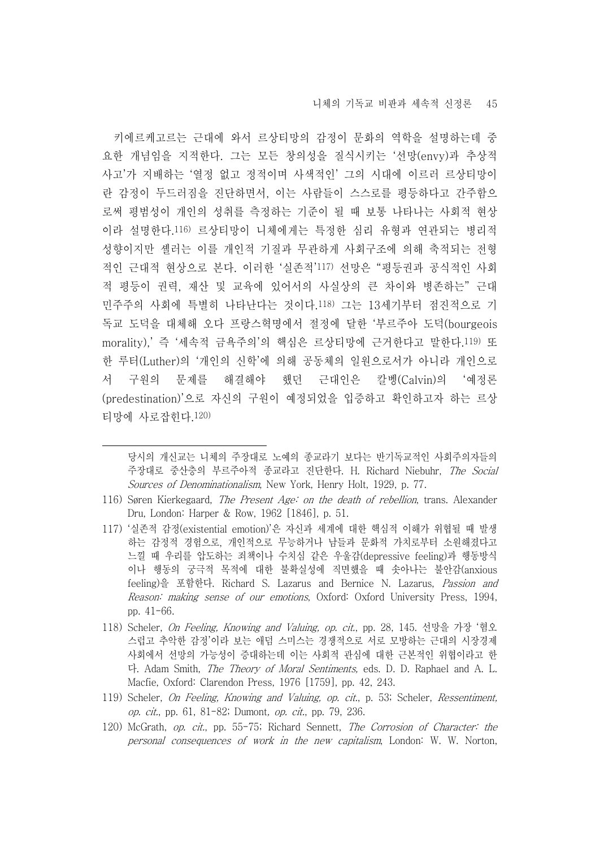키에르케고르는 근대에 와서 르상티망의 감정이 문화의 역학을 설명하는데 중 요한 개념임을 지적한다. 그는 모든 창의성을 질식시키는 '선망(envy)과 추상적 사고'가 지배하는 '열정 없고 정적이며 사색적인' 그의 시대에 이르러 르상티망이 란 감정이 두드러짐을 진단하면서, 이는 사람들이 스스로를 평등하다고 간주함으 로써 평범성이 개인의 성취를 측정하는 기준이 될 때 보통 나타나는 사회적 현상 이라 설명한다.116) 르상티망이 니체에게는 특정한 심리 유형과 연관되는 병리적 성향이지만 셸러는 이를 개인적 기질과 무관하게 사회구조에 의해 축적되는 전형 적인 근대적 현상으로 본다. 이러한 '실존적'117) 선망은 "평등권과 공식적인 사회 적 평등이 권력, 재산 및 교육에 있어서의 사실상의 큰 차이와 병존하는" 근대 민주주의 사회에 특별히 나타난다는 것이다.118) 그는 13세기부터 점진적으로 기 독교 도덕을 대체해 오다 프랑스혁명에서 절정에 달한 '부르주아 도덕(bourgeois morality),' 즉 '세속적 금욕주의'의 핵심은 르상티망에 근거한다고 말한다.119) 또 한 루터(Luther)의 '개인의 신학'에 의해 공동체의 일원으로서가 아니라 개인으로 서 구원의 문제를 해결해야 했던 근대인은 칼벵(Calvin)의 '예정론 (predestination)'으로 자신의 구원이 예정되었을 입증하고 확인하고자 하는 르상 티망에 사로잡힌다.120)

당시의 개신교는 니체의 주장대로 노예의 종교라기 보다는 반기독교적인 사회주의자들의 주장대로 중산층의 부르주아적 종교라고 진단한다. H. Richard Niebuhr, The Social Sources of Denominationalism, New York, Henry Holt, 1929, p. 77.

- 116) Søren Kierkegaard, *The Present Age: on the death of rebellion*, trans. Alexander Dru, London: Harper & Row, 1962 [1846], p. 51.
- 117) '실존적 감정(existential emotion)'은 자신과 세계에 대한 핵심적 이해가 위협될 때 발생 하는 감정적 경험으로, 개인적으로 무능하거나 남들과 문화적 가치로부터 소원해졌다고 느낄 때 우리를 압도하는 죄책이나 수치심 같은 우울감(depressive feeling)과 행동방식 이나 행동의 궁극적 목적에 대한 불확실성에 직면했을 때 솟아나는 불안감(anxious feeling)을 포함한다. Richard S. Lazarus and Bernice N. Lazarus, Passion and Reason: making sense of our emotions, Oxford: Oxford University Press, 1994, pp. 41-66.
- 118) Scheler, On Feeling, Knowing and Valuing, op. cit., pp. 28, 145. 선망을 가장 '혐오 스럽고 추악한 감정'이라 보는 애덤 스미스는 경쟁적으로 서로 모방하는 근대의 시장경제 사회에서 선망의 가능성이 증대하는데 이는 사회적 관심에 대한 근본적인 위협이라고 한 다. Adam Smith, The Theory of Moral Sentiments, eds. D. D. Raphael and A. L. Macfie, Oxford: Clarendon Press, 1976 [1759], pp. 42, 243.
- 119) Scheler, On Feeling, Knowing and Valuing, op. cit., p. 53; Scheler, Ressentiment, op. cit., pp. 61, 81-82; Dumont, op. cit., pp. 79, 236.
- 120) McGrath, op. cit., pp. 55-75; Richard Sennett, The Corrosion of Character: the personal consequences of work in the new capitalism, London: W. W. Norton,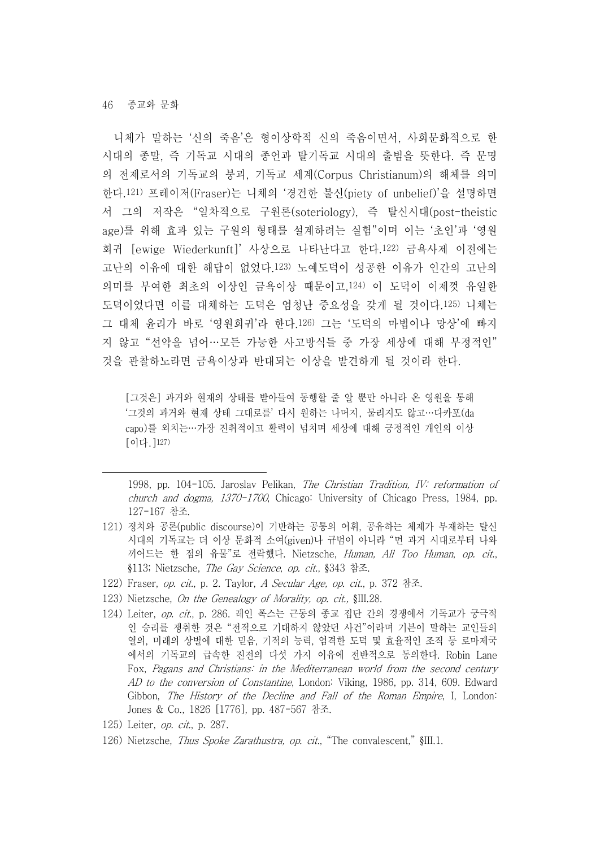니체가 말하는 '신의 죽음'은 형이상학적 신의 죽음이면서, 사회문화적으로 한 시대의 종말, 즉 기독교 시대의 종언과 탈기독교 시대의 출범을 뜻한다. 즉 문명 의 전제로서의 기독교의 붕괴, 기독교 세계(Corpus Christianum)의 해체를 의미 한다.121) 프레이저(Fraser)는 니체의 '경건한 불신(piety of unbelief)'을 설명하면 서 그의 저작은 "일차적으로 구원론(soteriology), 즉 탈신시대(post-theistic age)를 위해 효과 있는 구원의 형태를 설계하려는 실험"이며 이는 '초인'과 '영원 회귀 [ewige Wiederkunft]' 사상으로 나타난다고 한다.122) 금욕사제 이전에는 고난의 이유에 대한 해답이 없었다.123) 노예도덕이 성공한 이유가 인간의 고난의 의미를 부여한 최초의 이상인 금욕이상 때문이고,124) 이 도덕이 이제껏 유일한 도덕이었다면 이를 대체하는 도덕은 엄청난 중요성을 갖게 될 것이다.125) 니체는 그 대체 윤리가 바로 '영원회귀'라 한다.126) 그는 '도덕의 마법이나 망상'에 빠지 지 않고 "선악을 넘어…모든 가능한 사고방식들 중 가장 세상에 대해 부정적인" 것을 관찰하노라면 금욕이상과 반대되는 이상을 발견하게 될 것이라 한다.

[그것은] 과거와 현재의 상태를 받아들여 동행할 줄 알 뿐만 아니라 온 영원을 통해 '그것의 과거와 현재 상태 그대로를' 다시 원하는 나머지, 물리지도 않고…다카포(da capo)를 외치는…가장 진취적이고 활력이 넘치며 세상에 대해 긍정적인 개인의 이상 [이다.]127)

1998, pp. 104-105. Jaroslav Pelikan, The Christian Tradition, IV: reformation of church and dogma, 1370-1700, Chicago: University of Chicago Press, 1984, pp. 127-167 참조.

- 121) 정치와 공론(public discourse)이 기반하는 공통의 어휘, 공유하는 체제가 부재하는 탈신 시대의 기독교는 더 이상 문화적 소여(given)나 규범이 아니라 "먼 과거 시대로부터 나와 끼어드는 한 점의 유물"로 전락했다. Nietzsche, *Human, All Too Human, op. cit.,*<br>§113; Nietzsche, *The Gav Science, op. cit.*, §343 참조.
- 122) Fraser, op. cit., p. 2. Taylor, A Secular Age, op. cit., p. 372 참조.
- 123) Nietzsche, On the Genealogy of Morality, op. cit., §III.28.
- 124) Leiter, op. cit., p. 286. 레인 폭스는 근동의 종교 집단 간의 경쟁에서 기독교가 궁극적 인 승리를 쟁취한 것은 "전적으로 기대하지 않았던 사건"이라며 기븐이 말하는 교인들의 열의, 미래의 상벌에 대한 믿음, 기적의 능력, 엄격한 도덕 및 효율적인 조직 등 로마제국 에서의 기독교의 급속한 진전의 다섯 가지 이유에 전반적으로 동의한다. Robin Lane Fox, Pagans and Christians: in the Mediterranean world from the second century AD to the conversion of Constantine, London: Viking, 1986, pp. 314, 609. Edward Gibbon, The History of the Decline and Fall of the Roman Empire, I, London: Jones & Co., 1826 [1776], pp. 487-567 참조.
- 125) Leiter, op. cit., p. 287.
- 126) Nietzsche, *Thus Spoke Zarathustra, op. cit.*, "The convalescent," §III.1.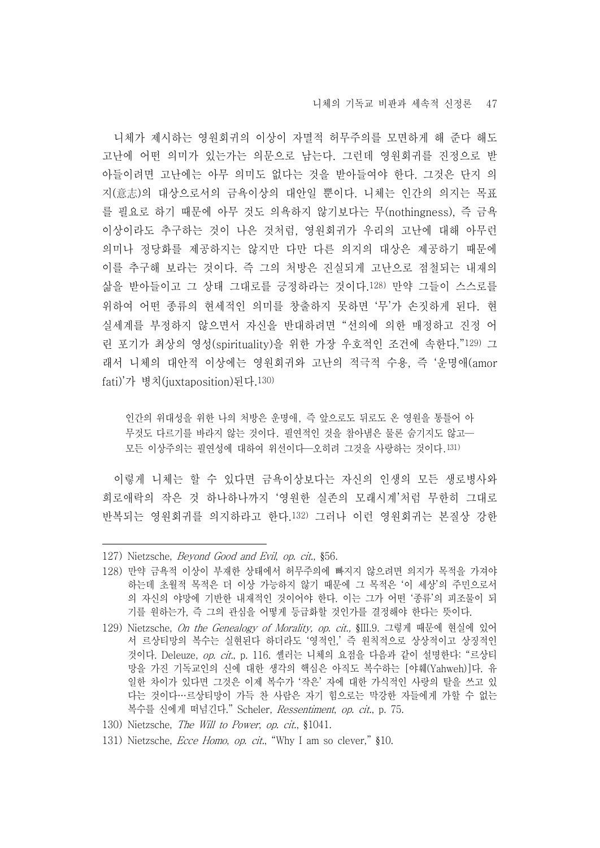니체의 기독교 비판과 세속적 신정론 47

니체가 제시하는 영원회귀의 이상이 자멸적 허무주의를 모면하게 해 준다 해도 고난에 어떤 의미가 있는가는 의문으로 남는다. 그런데 영원회귀를 진정으로 받 아들이려면 고난에는 아무 의미도 없다는 것을 받아들여야 한다. 그것은 단지 의 지(意志)의 대상으로서의 금욕이상의 대안일 뿐이다. 니체는 인간의 의지는 목표 를 필요로 하기 때문에 아무 것도 의욕하지 않기보다는 무(nothingness), 즉 금욕 이상이라도 추구하는 것이 나은 것처럼, 영원회귀가 우리의 고난에 대해 아무런 의미나 정당화를 제공하지는 않지만 다만 다른 의지의 대상은 제공하기 때문에 이를 추구해 보라는 것이다. 즉 그의 처방은 진실되게 고난으로 점철되는 내재의 삶을 받아들이고 그 상태 그대로를 긍정하라는 것이다.128) 만약 그들이 스스로를 위하여 어떤 종류의 현세적인 의미를 창출하지 못하면 '무'가 손짓하게 된다. 현 실세계를 부정하지 않으면서 자신을 반대하려면 "선의에 의한 매정하고 진정 어 린 포기가 최상의 영성(spirituality)을 위한 가장 우호적인 조건에 속한다."129) 그 래서 니체의 대안적 이상에는 영원회귀와 고난의 적극적 수용, 즉 '운명애(amor fati)'가 병치(juxtaposition)된다.130)

인간의 위대성을 위한 나의 처방은 운명애, 즉 앞으로도 뒤로도 온 영원을 통틀어 아 무것도 다르기를 바라지 않는 것이다. 필연적인 것을 참아냄은 물론 숨기지도 않고— 모든 이상주의는 필연성에 대하여 위선이다—오히려 그것을 사랑하는 것이다.131)

이렇게 니체는 할 수 있다면 금욕이상보다는 자신의 인생의 모든 생로병사와 희로애락의 작은 것 하나하나까지 '영원한 실존의 모래시계'처럼 무한히 그대로 반복되는 영원회귀를 의지하라고 한다.132) 그러나 이런 영원회귀는 본질상 강한

- 127) Nietzsche, Beyond Good and Evil, op. cit., §56.
- 128) 만약 금욕적 이상이 부재한 상태에서 허무주의에 빠지지 않으려면 의지가 목적을 가져야 하는데 초월적 목적은 더 이상 가능하지 않기 때문에 그 목적은 '이 세상'의 주민으로서 의 자신의 야망에 기반한 내재적인 것이어야 한다. 이는 그가 어떤 '종류'의 피조물이 되 기를 원하는가, 즉 그의 관심을 어떻게 등급화할 것인가를 결정해야 한다는 뜻이다.
- 129) Nietzsche, On the Genealogy of Morality, op. cit., §III.9. 그렇게 때문에 현실에 있어 서 르상티망의 복수는 실현된다 하더라도 '영적인,' 즉 원칙적으로 상상적이고 상징적인 것이다. Deleuze, op. cit., p. 116. 셸러는 니체의 요점을 다음과 같이 설명한다: "르상티 망을 가진 기독교인의 신에 대한 생각의 핵심은 아직도 복수하는 [야훼(Yahweh)]다. 유 일한 차이가 있다면 그것은 이제 복수가 '작은' 자에 대한 가식적인 사랑의 탈을 쓰고 있 다는 것이다…르상티망이 가득 찬 사람은 자기 힘으로는 막강한 자들에게 가할 수 없는 복수를 신에게 떠넘긴다." Scheler, Ressentiment, op. cit., p. 75.
- 130) Nietzsche, The Will to Power, op. cit., §1041.
- 131) Nietzsche, Ecce Homo, op. cit., "Why I am so clever," §10.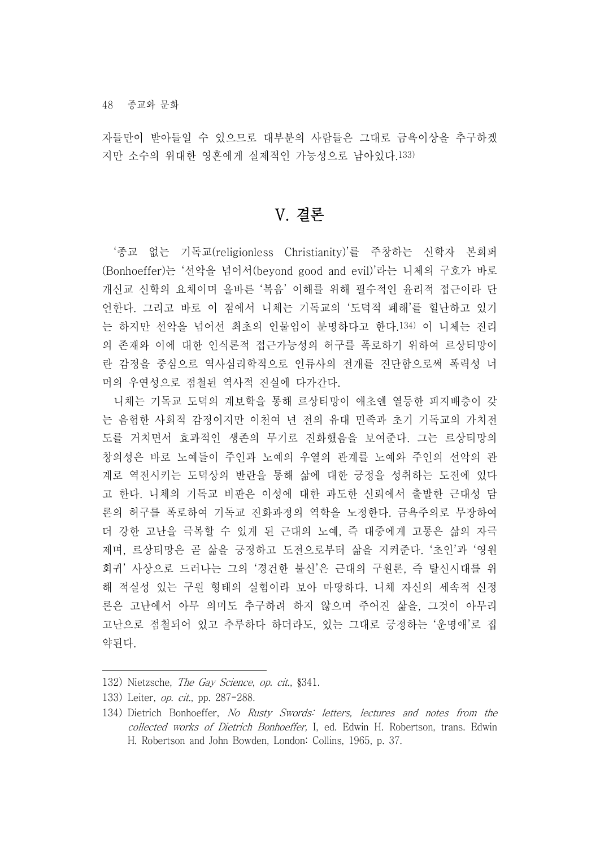자들만이 받아들일 수 있으므로 대부분의 사람들은 그대로 금욕이상을 추구하겠 지만 소수의 위대한 영혼에게 실제적인 가능성으로 남아있다.133)

### V. 결론

'종교 없는 기독교(religionless Christianity)'를 주창하는 신학자 본회퍼 (Bonhoeffer)는 '선악을 넘어서(beyond good and evil)'라는 니체의 구호가 바로 개신교 신학의 요체이며 올바른 '복음' 이해를 위해 필수적인 윤리적 접근이라 단 언한다. 그리고 바로 이 점에서 니체는 기독교의 '도덕적 폐해'를 힐난하고 있기 는 하지만 선악을 넘어선 최초의 인물임이 분명하다고 한다.134) 이 니체는 진리 의 존재와 이에 대한 인식론적 접근가능성의 허구를 폭로하기 위하여 르상티망이 란 감정을 중심으로 역사심리학적으로 인류사의 전개를 진단함으로써 폭력성 너 머의 우연성으로 점철된 역사적 진실에 다가간다.

니체는 기독교 도덕의 계보학을 통해 르상티망이 애초엔 열등한 피지배층이 갖 는 음험한 사회적 감정이지만 이천여 년 전의 유대 민족과 초기 기독교의 가치전 도를 거치면서 효과적인 생존의 무기로 진화했음을 보여준다. 그는 르상티망의 창의성은 바로 노예들이 주인과 노예의 우열의 관계를 노예와 주인의 선악의 관 계로 역전시키는 도덕상의 반란을 통해 삶에 대한 긍정을 성취하는 도전에 있다 고 한다. 니체의 기독교 비판은 이성에 대한 과도한 신뢰에서 출발한 근대성 담 론의 허구를 폭로하여 기독교 진화과정의 역학을 노정한다. 금욕주의로 무장하여 더 강한 고난을 극복할 수 있게 된 근대의 노예, 즉 대중에게 고통은 삶의 자극 제며, 르상티망은 곧 삶을 긍정하고 도전으로부터 삶을 지켜준다. '초인'과 '영원 회귀' 사상으로 드러나는 그의 '경건한 불신'은 근대의 구원론, 즉 탈신시대를 위 해 적실성 있는 구원 형태의 실험이라 보아 마땅하다. 니체 자신의 세속적 신정 론은 고난에서 아무 의미도 추구하려 하지 않으며 주어진 삶을, 그것이 아무리 고난으로 점철되어 있고 추루하다 하더라도, 있는 그대로 긍정하는 '운명애'로 집 약된다.

<sup>132)</sup> Nietzsche, The Gay Science, op. cit., §341.

<sup>133)</sup> Leiter, *op. cit.*, pp. 287-288.

<sup>134)</sup> Dietrich Bonhoeffer, No Rusty Swords: letters, lectures and notes from the collected works of Dietrich Bonhoeffer, I, ed. Edwin H. Robertson, trans. Edwin H. Robertson and John Bowden, London: Collins, 1965, p. 37.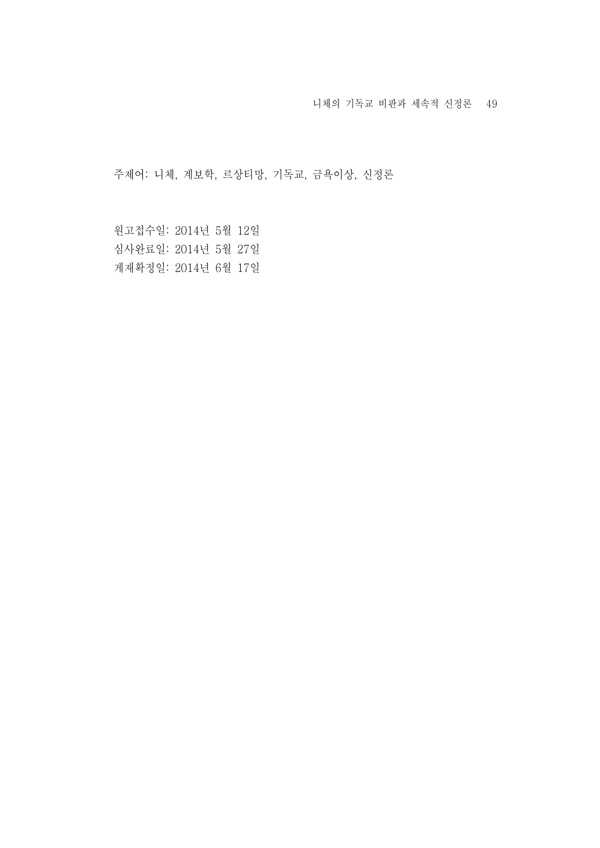니체의 기독교 비판과 세속적 신정론 49

주제어: 니체, 계보학, 르상티망, 기독교, 금욕이상, 신정론

원고접수일: 2014년 5월 12일 심사완료일: 2014년 5월 27일 게재확정일: 2014년 6월 17일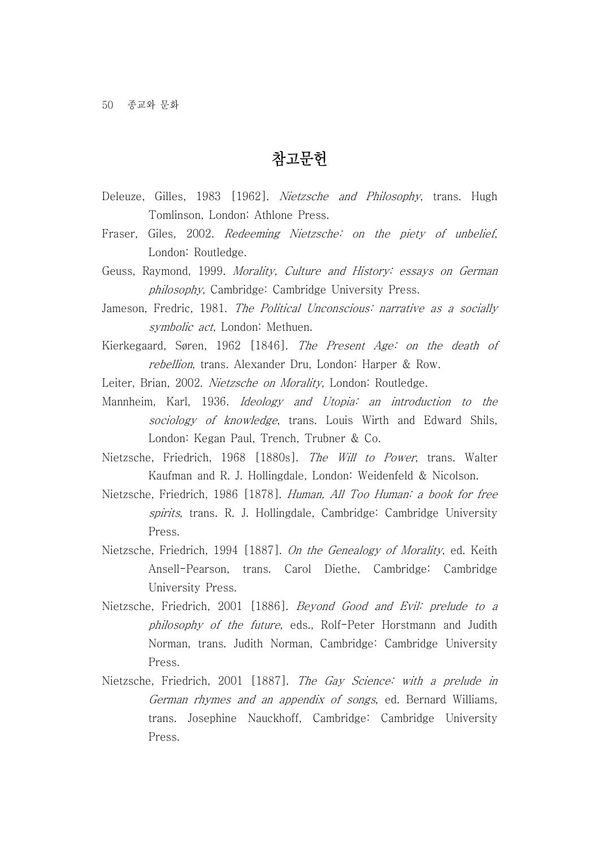### 참고문헌

- Deleuze, Gilles, 1983 [1962]. Nietzsche and Philosophy, trans. Hugh Tomlinson, London: Athlone Press.
- Fraser, Giles, 2002. *Redeeming Nietzsche: on the piety of unbelief*,<br>London: Routledge.
- Geuss, Raymond, 1999. Morality, Culture and History: essays on German philosophy, Cambridge: Cambridge University Press.
- Jameson, Fredric, 1981. The Political Unconscious: narrative as a socially symbolic act, London: Methuen.
- Kierkegaard, Søren, 1962 [1846]. The Present Age: on the death of rebellion, trans. Alexander Dru, London: Harper & Row.
- Leiter, Brian, 2002. Nietzsche on Morality, London: Routledge.
- Mannheim, Karl, 1936. Ideology and Utopia: an introduction to the sociology of knowledge, trans. Louis Wirth and Edward Shils, London: Kegan Paul, Trench, Trubner & Co.
- Nietzsche, Friedrich, 1968 [1880s]. The Will to Power, trans. Walter Kaufman and R. J. Hollingdale, London: Weidenfeld & Nicolson.
- Nietzsche, Friedrich, 1986 [1878]. Human, All Too Human: a book for free spirits, trans. R. J. Hollingdale, Cambridge: Cambridge University Press.
- Nietzsche, Friedrich, 1994 [1887]. On the Genealogy of Morality, ed. Keith Ansell-Pearson, trans. Carol Diethe, Cambridge: Cambridge University Press.
- Nietzsche, Friedrich, 2001 [1886]. Beyond Good and Evil: prelude to a philosophy of the future, eds., Rolf-Peter Horstmann and Judith Norman, trans. Judith Norman, Cambridge: Cambridge University Press.
- Nietzsche, Friedrich, 2001 [1887]. The Gay Science: with a prelude in German rhymes and an appendix of songs, ed. Bernard Williams, trans. Josephine Nauckhoff, Cambridge: Cambridge University Press.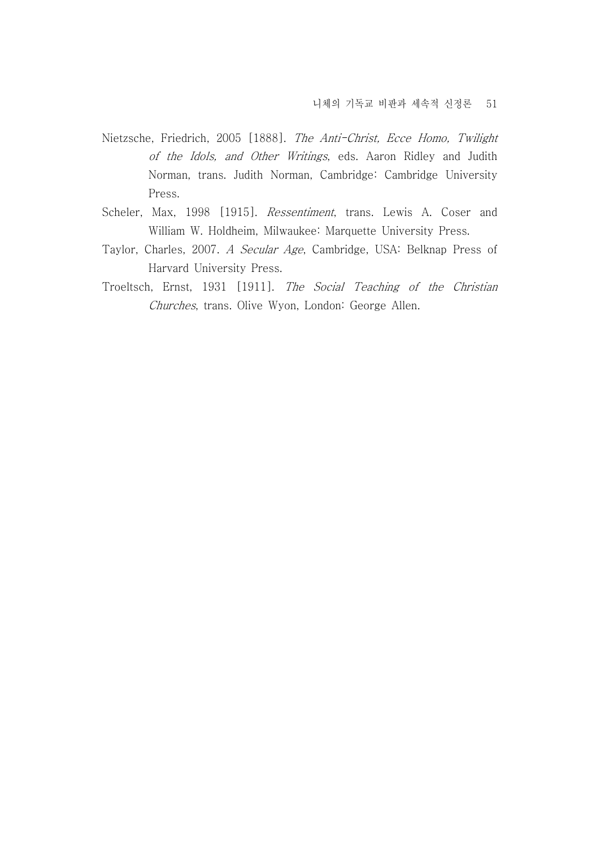- Nietzsche, Friedrich, 2005 [1888]. The Anti-Christ, Ecce Homo, Twilight of the Idols, and Other Writings, eds. Aaron Ridley and Judith Norman, trans. Judith Norman, Cambridge: Cambridge University Press.
- Scheler, Max, 1998 [1915]. Ressentiment, trans. Lewis A. Coser and William W. Holdheim, Milwaukee: Marquette University Press.
- Taylor, Charles, 2007. A Secular Age, Cambridge, USA: Belknap Press of Harvard University Press.
- Troeltsch, Ernst, 1931 [1911]. The Social Teaching of the Christian Churches, trans. Olive Wyon, London: George Allen.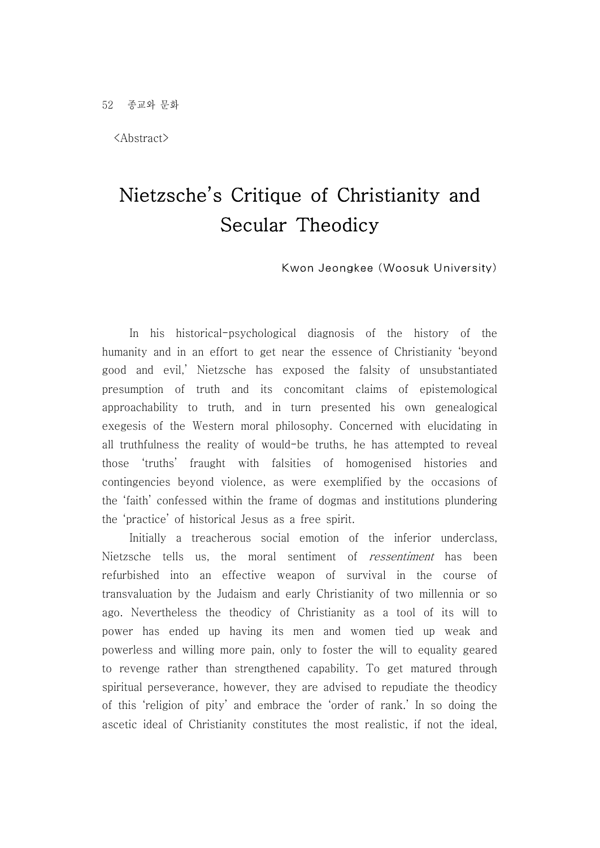<Abstract>

# Nietzsche's Critique of Christianity and Secular Theodicy

Kwon Jeongkee (Woosuk University)

 In his historical-psychological diagnosis of the history of the humanity and in an effort to get near the essence of Christianity 'beyond good and evil,' Nietzsche has exposed the falsity of unsubstantiated presumption of truth and its concomitant claims of epistemological approachability to truth, and in turn presented his own genealogical exegesis of the Western moral philosophy. Concerned with elucidating in all truthfulness the reality of would-be truths, he has attempted to reveal those 'truths' fraught with falsities of homogenised histories and contingencies beyond violence, as were exemplified by the occasions of the 'faith' confessed within the frame of dogmas and institutions plundering the 'practice' of historical Jesus as a free spirit. Initially a treacherous social emotion of the inferior underclass,

Nietzsche tells us, the moral sentiment of *ressentiment* has been refurbished into an effective weapon of survival in the course of transvaluation by the Judaism and early Christianity of two millennia or so ago. Nevertheless the theodicy of Christianity as a tool of its will to power has ended up having its men and women tied up weak and powerless and willing more pain, only to foster the will to equality geared to revenge rather than strengthened capability. To get matured through spiritual perseverance, however, they are advised to repudiate the theodicy of this 'religion of pity' and embrace the 'order of rank.' In so doing the ascetic ideal of Christianity constitutes the most realistic, if not the ideal,